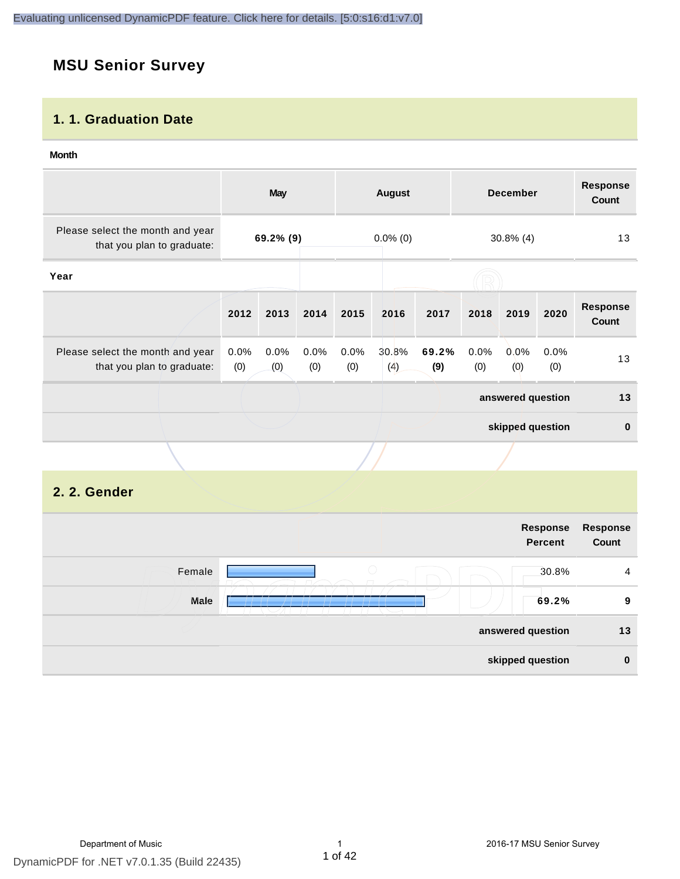## **MSU Senior Survey**

## **1. 1. Graduation Date**

#### **Month**

|                                                                |                | <b>May</b>  |             |                             | <b>August</b> |              |             | <b>December</b>   |             | <b>Response</b><br>Count |
|----------------------------------------------------------------|----------------|-------------|-------------|-----------------------------|---------------|--------------|-------------|-------------------|-------------|--------------------------|
| Please select the month and year<br>that you plan to graduate: | 69.2% (9)      |             |             | $0.0\%$ (0)<br>$30.8\%$ (4) |               |              | 13          |                   |             |                          |
| Year                                                           |                |             |             |                             |               |              |             |                   |             |                          |
|                                                                | 2012           | 2013        | 2014        | 2015                        | 2016          | 2017         | 2018        | 2019              | 2020        | <b>Response</b><br>Count |
| Please select the month and year<br>that you plan to graduate: | $0.0\%$<br>(0) | 0.0%<br>(0) | 0.0%<br>(0) | 0.0%<br>(0)                 | 30.8%<br>(4)  | 69.2%<br>(9) | 0.0%<br>(0) | 0.0%<br>(0)       | 0.0%<br>(0) | 13                       |
|                                                                |                |             |             |                             |               |              |             | answered question |             | 13                       |
|                                                                |                |             |             |                             |               |              |             | skipped question  |             | $\mathbf 0$              |
|                                                                |                |             |             |                             |               |              |             |                   |             |                          |

## **2. 2. Gender**

| Response<br>Count | Response<br><b>Percent</b>                           |        |
|-------------------|------------------------------------------------------|--------|
| $\overline{4}$    | $\left(\begin{array}{c} \end{array}\right)$<br>30.8% | Female |
| 9                 | 69.2%                                                | Male   |
| 13                | answered question                                    |        |
| $\bf{0}$          | skipped question                                     |        |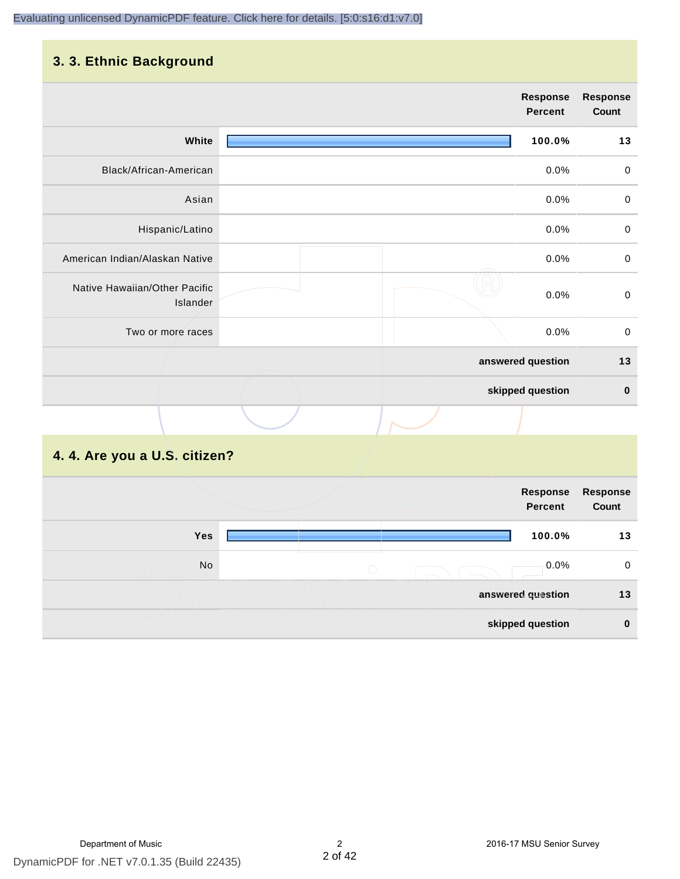## **3. 3. Ethnic Background**

|                                           |  | <b>Response</b><br><b>Percent</b> | <b>Response</b><br>Count |
|-------------------------------------------|--|-----------------------------------|--------------------------|
| White                                     |  | 100.0%                            | 13                       |
| Black/African-American                    |  | 0.0%                              | 0                        |
| Asian                                     |  | 0.0%                              | $\pmb{0}$                |
| Hispanic/Latino                           |  | 0.0%                              | $\pmb{0}$                |
| American Indian/Alaskan Native            |  | 0.0%                              | $\pmb{0}$                |
| Native Hawaiian/Other Pacific<br>Islander |  | 0.0%                              | $\mathbf 0$              |
| Two or more races                         |  | 0.0%                              | $\mathsf{O}\xspace$      |
|                                           |  | answered question                 | 13                       |
|                                           |  | skipped question                  | $\pmb{0}$                |
|                                           |  |                                   |                          |

## **4. 4. Are you a U.S. citizen?**

|     | Response<br><b>Percent</b> | <b>Response</b><br>Count |
|-----|----------------------------|--------------------------|
| Yes | 100.0%                     | 13                       |
| No  | 0.0%<br>$\bigcirc$         | $\mathbf 0$              |
|     | answered question          | 13                       |
|     | skipped question           | $\bf{0}$                 |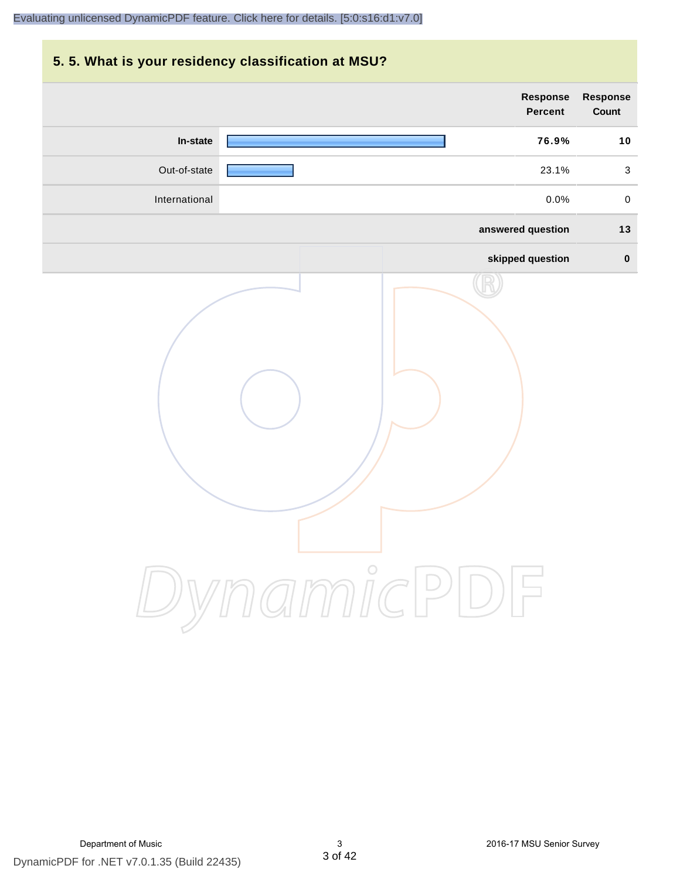# **5. 5. What is your residency classification at MSU? answered question 13 skipped question 0 Response Percent Response Count In-state 76.9% 10** Out-of-state 23.1% 3 International 0.0% 0

DynamicPDF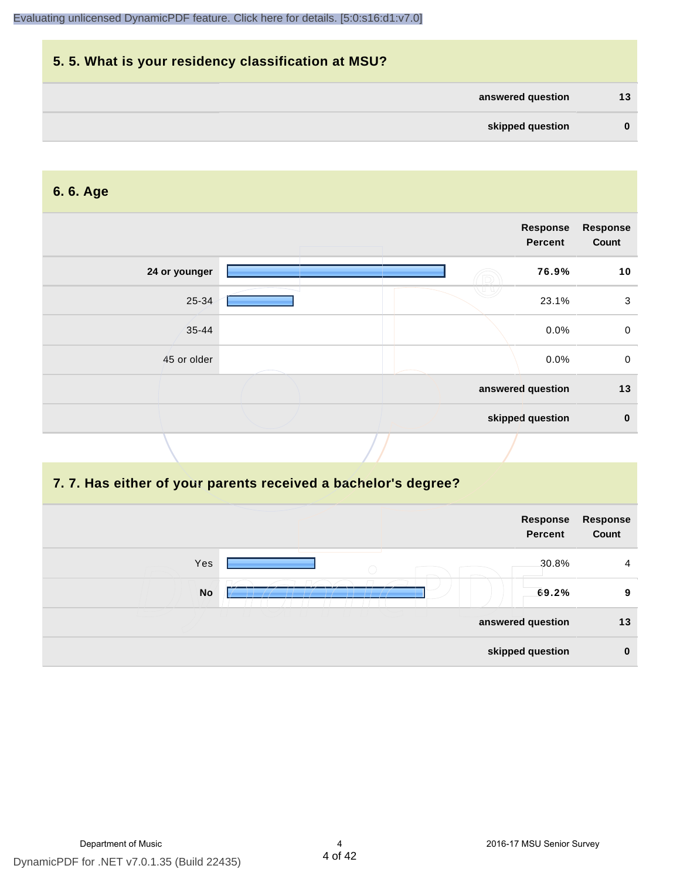

## **6. 6. Age**

|               |  | Response<br><b>Percent</b> | <b>Response</b><br>Count |
|---------------|--|----------------------------|--------------------------|
| 24 or younger |  | 76.9%                      | 10                       |
| 25-34         |  | 23.1%                      | $\mathbf{3}$             |
| $35 - 44$     |  | 0.0%                       | $\mathbf 0$              |
| 45 or older   |  | 0.0%                       | $\mathbf 0$              |
|               |  | answered question          | 13                       |
|               |  | skipped question           | $\mathbf 0$              |
|               |  |                            |                          |

## **7. 7. Has either of your parents received a bachelor's degree?**

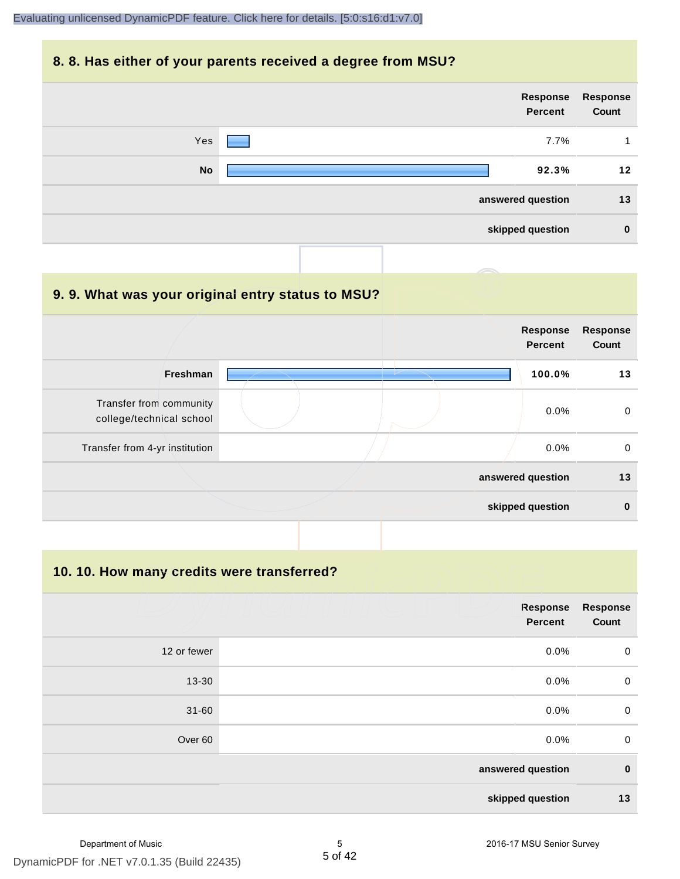#### **8. 8. Has either of your parents received a degree from MSU?**

|           | Response<br>Percent | Response<br>Count |
|-----------|---------------------|-------------------|
| Yes       | 7.7%                | 1                 |
| <b>No</b> | 92.3%               | 12                |
|           | answered question   | 13                |
|           | skipped question    | $\bf{0}$          |

| 9.9. What was your original entry status to MSU?    |                                   |                   |
|-----------------------------------------------------|-----------------------------------|-------------------|
|                                                     | <b>Response</b><br><b>Percent</b> | Response<br>Count |
| Freshman                                            | 100.0%                            | 13                |
| Transfer from community<br>college/technical school | $0.0\%$                           | $\mathbf 0$       |
| Transfer from 4-yr institution                      | 0.0%                              | $\mathbf 0$       |
|                                                     | answered question                 | 13                |
|                                                     | skipped question                  | $\bf{0}$          |

**10. 10. How many credits were transferred?**

|             | Response<br><b>Percent</b> | <b>Response</b><br>Count |
|-------------|----------------------------|--------------------------|
| 12 or fewer | 0.0%                       | $\pmb{0}$                |
| 13-30       | 0.0%                       | $\mathbf 0$              |
| $31 - 60$   | 0.0%                       | $\pmb{0}$                |
| Over 60     | 0.0%                       | $\mathbf 0$              |
|             | answered question          | $\pmb{0}$                |
|             | skipped question           | 13                       |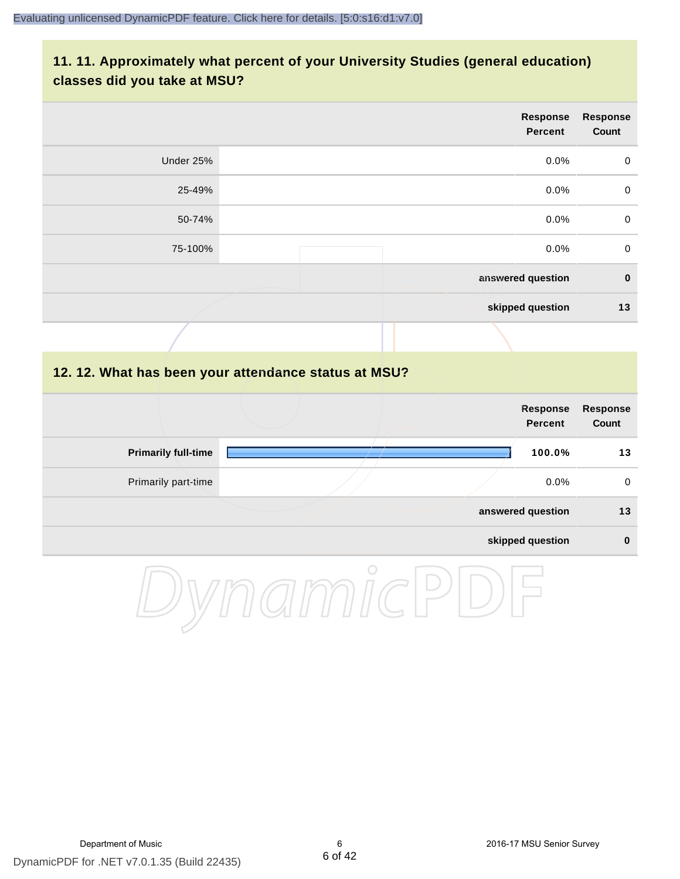## **11. 11. Approximately what percent of your University Studies (general education) classes did you take at MSU?**

|           | Response<br><b>Percent</b> | <b>Response</b><br>Count |
|-----------|----------------------------|--------------------------|
| Under 25% | 0.0%                       | 0                        |
| 25-49%    | 0.0%                       | $\mathbf 0$              |
| 50-74%    | 0.0%                       | $\mathbf 0$              |
| 75-100%   | 0.0%                       | $\mathbf 0$              |
|           | answered question          | $\pmb{0}$                |
|           | skipped question           | 13                       |

#### **12. 12. What has been your attendance status at MSU?**

|                            |  | <b>Response</b><br>Percent | <b>Response</b><br>Count |
|----------------------------|--|----------------------------|--------------------------|
| <b>Primarily full-time</b> |  | 100.0%                     | 13                       |
| Primarily part-time        |  | $0.0\%$                    | 0                        |
|                            |  | answered question          | 13                       |
|                            |  | skipped question           | $\bf{0}$                 |

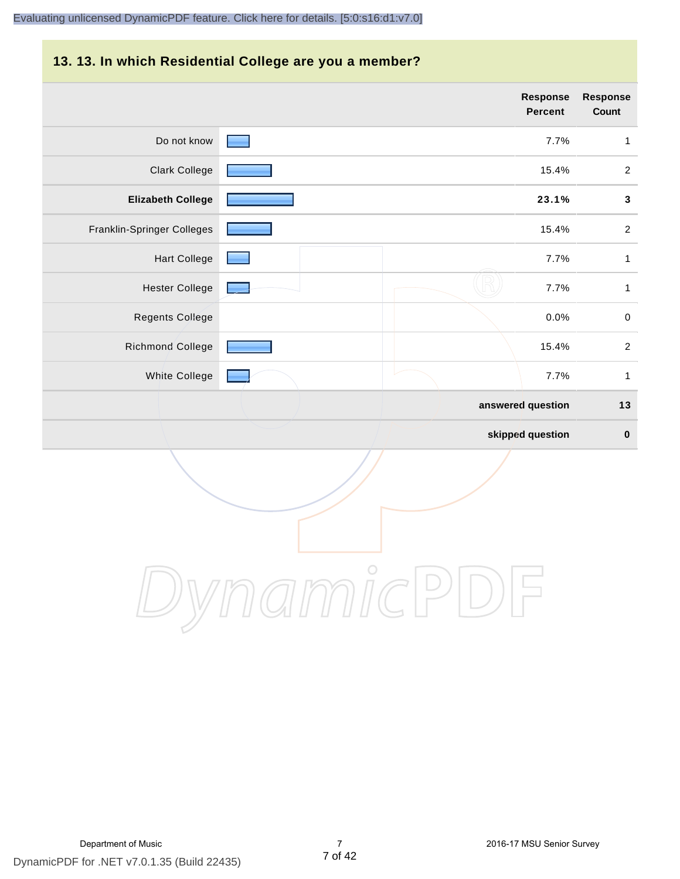### **13. 13. In which Residential College are you a member?**

|                            | <b>Response</b><br><b>Percent</b> | <b>Response</b><br>Count |
|----------------------------|-----------------------------------|--------------------------|
| Do not know                | 7.7%                              | $\mathbf{1}$             |
| Clark College              | 15.4%                             | $\overline{2}$           |
| <b>Elizabeth College</b>   | 23.1%                             | $\mathbf{3}$             |
| Franklin-Springer Colleges | 15.4%                             | $\overline{2}$           |
| <b>Hart College</b>        | 7.7%                              | $\mathbf{1}$             |
| <b>Hester College</b>      | 7.7%                              | $\mathbf{1}$             |
| <b>Regents College</b>     | 0.0%                              | $\pmb{0}$                |
| Richmond College           | 15.4%                             | $\overline{2}$           |
| White College              | 7.7%                              | $\mathbf{1}$             |
|                            | answered question                 | 13                       |
|                            | skipped question                  | $\pmb{0}$                |

DynamicPDF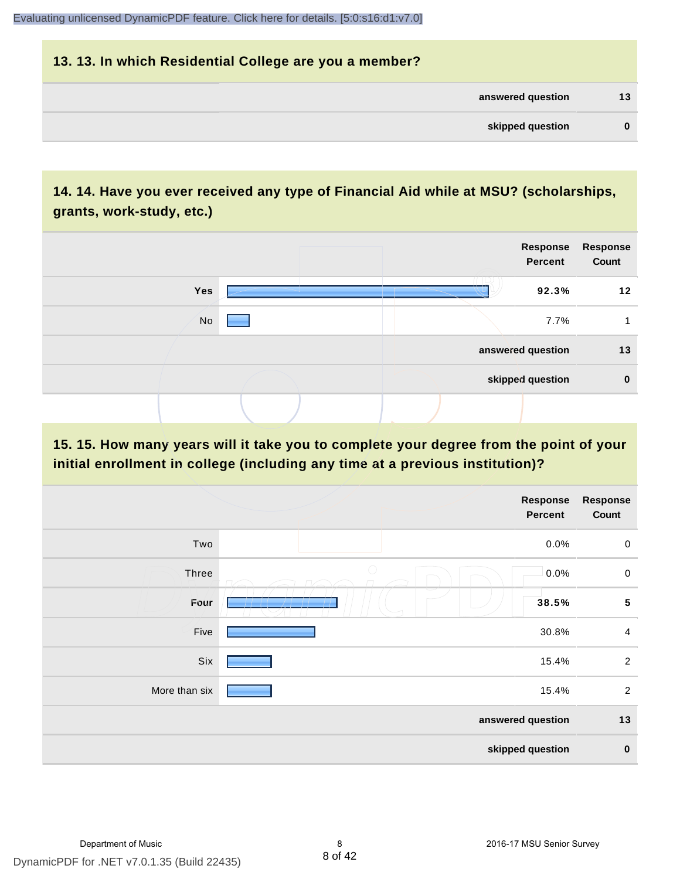## **13. 13. In which Residential College are you a member? answered question 13 skipped question 0**

## **14. 14. Have you ever received any type of Financial Aid while at MSU? (scholarships, grants, work-study, etc.)**



## **15. 15. How many years will it take you to complete your degree from the point of your initial enrollment in college (including any time at a previous institution)?**

|               | <b>Response</b><br>Percent | <b>Response</b><br>Count |
|---------------|----------------------------|--------------------------|
| Two           | 0.0%                       | $\mathbf 0$              |
| <b>Three</b>  | $\bigcirc$<br>0.0%         | $\pmb{0}$                |
| Four          | 38.5%                      | $\overline{\mathbf{5}}$  |
| Five          | 30.8%                      | $\overline{4}$           |
| Six           | 15.4%                      | $\overline{2}$           |
| More than six | 15.4%                      | $\overline{2}$           |
|               | answered question          | 13                       |
|               | skipped question           | $\pmb{0}$                |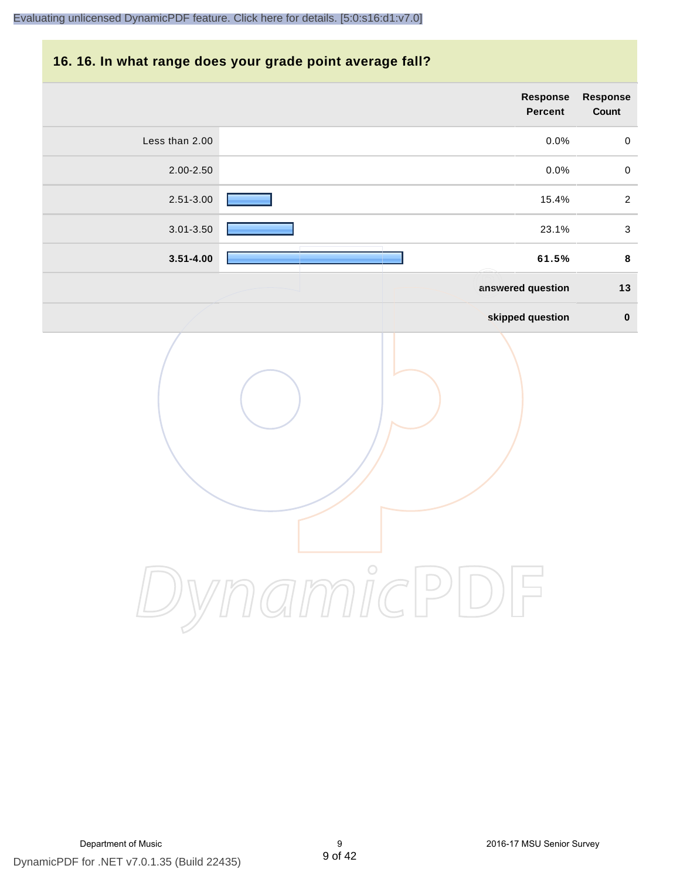### **16. 16. In what range does your grade point average fall?**

| Response<br>Count | <b>Response</b><br>Percent |                |
|-------------------|----------------------------|----------------|
| $\mathbf 0$       | 0.0%                       | Less than 2.00 |
| $\mathbf 0$       | 0.0%                       | 2.00-2.50      |
| $\overline{2}$    | 15.4%                      | 2.51-3.00      |
| $\mathbf{3}$      | 23.1%                      | 3.01-3.50      |
| 8                 | 61.5%                      | $3.51 - 4.00$  |
| 13                | answered question          |                |
| $\pmb{0}$         | skipped question           |                |
|                   |                            |                |

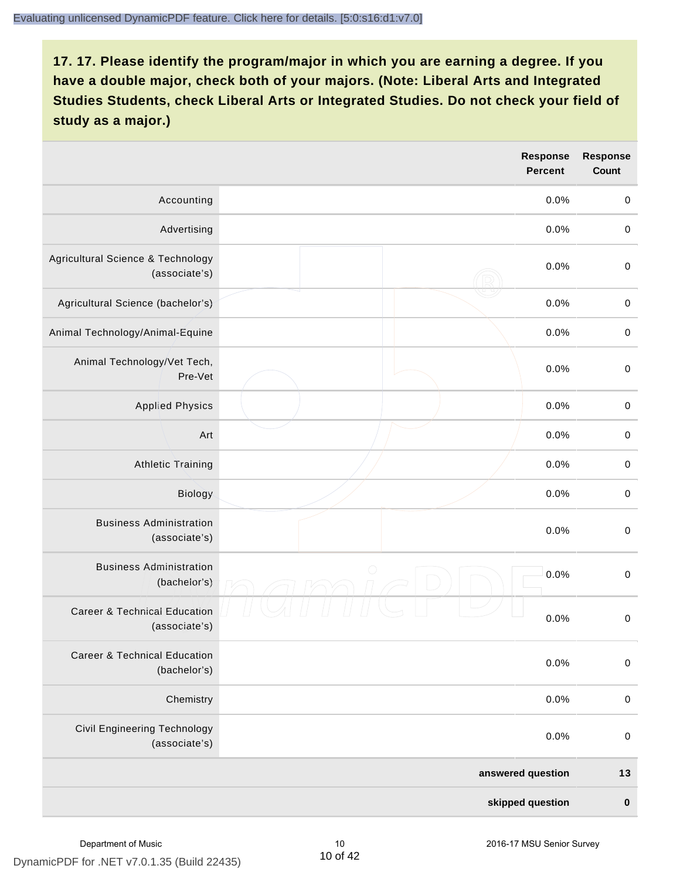|                                                          | Response<br><b>Percent</b> | <b>Response</b><br><b>Count</b> |
|----------------------------------------------------------|----------------------------|---------------------------------|
| Accounting                                               | 0.0%                       | $\mathbf 0$                     |
| Advertising                                              | 0.0%                       | $\mbox{O}$                      |
| Agricultural Science & Technology<br>(associate's)       | 0.0%                       | $\mbox{O}$                      |
| Agricultural Science (bachelor's)                        | 0.0%                       | $\mathbf 0$                     |
| Animal Technology/Animal-Equine                          | 0.0%                       | $\mathbf 0$                     |
| Animal Technology/Vet Tech,<br>Pre-Vet                   | 0.0%                       | $\mathbf 0$                     |
| <b>Applied Physics</b>                                   | 0.0%                       | $\pmb{0}$                       |
| Art                                                      | 0.0%                       | $\mathbf 0$                     |
| <b>Athletic Training</b>                                 | 0.0%                       | $\mathbf 0$                     |
| Biology                                                  | 0.0%                       | $\mbox{O}$                      |
| <b>Business Administration</b><br>(associate's)          | 0.0%                       | $\,0\,$                         |
| <b>Business Administration</b><br>(bachelor's)           | 0<br>0.0%                  | $\mbox{O}$                      |
| <b>Career &amp; Technical Education</b><br>(associate's) | 0.0%                       | $\mathbf 0$                     |
| <b>Career &amp; Technical Education</b><br>(bachelor's)  | 0.0%                       | $\mathbf 0$                     |
| Chemistry                                                | 0.0%                       | $\mathbf 0$                     |
| Civil Engineering Technology<br>(associate's)            | 0.0%                       | $\pmb{0}$                       |
|                                                          | answered question          | $13$                            |
|                                                          | skipped question           | $\pmb{0}$                       |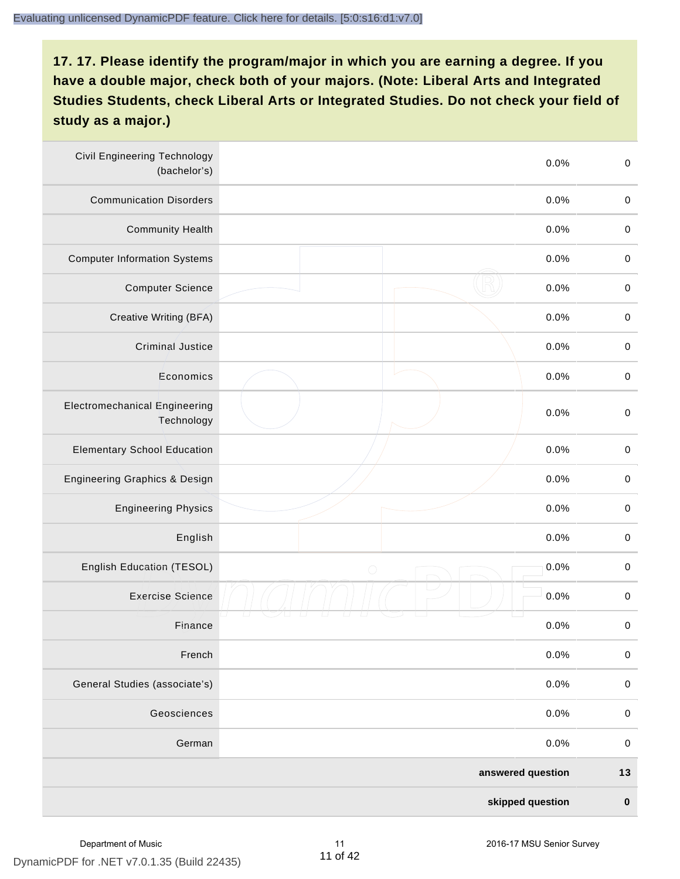| <b>Civil Engineering Technology</b><br>(bachelor's) |                   | $\mbox{O}$<br>0.0%  |
|-----------------------------------------------------|-------------------|---------------------|
| <b>Communication Disorders</b>                      |                   | 0.0%<br>$\mathbf 0$ |
| <b>Community Health</b>                             |                   | $\,0\,$<br>0.0%     |
| <b>Computer Information Systems</b>                 |                   | 0.0%<br>$\,0\,$     |
| <b>Computer Science</b>                             |                   | 0.0%<br>$\mathbf 0$ |
| Creative Writing (BFA)                              |                   | 0.0%<br>$\mathbf 0$ |
| Criminal Justice                                    |                   | 0.0%<br>$\mathbf 0$ |
| Economics                                           |                   | $\,0\,$<br>0.0%     |
| <b>Electromechanical Engineering</b><br>Technology  |                   | 0.0%<br>$\pmb{0}$   |
| <b>Elementary School Education</b>                  |                   | $\mathbf 0$<br>0.0% |
| <b>Engineering Graphics &amp; Design</b>            |                   | 0.0%<br>$\pmb{0}$   |
| <b>Engineering Physics</b>                          |                   | 0.0%<br>$\pmb{0}$   |
| English                                             |                   | 0.0%<br>$\pmb{0}$   |
| English Education (TESOL)                           | $\bigcirc$        | 0.0%<br>$\mathbf 0$ |
| <b>Exercise Science</b>                             |                   | 0.0%<br>$\pmb{0}$   |
| Finance                                             |                   | 0.0%<br>$\,0\,$     |
| French                                              |                   | 0.0%<br>$\pmb{0}$   |
| General Studies (associate's)                       |                   | 0.0%<br>$\mathbf 0$ |
| Geosciences                                         |                   | 0.0%<br>$\mathbf 0$ |
| German                                              |                   | 0.0%<br>$\mathbf 0$ |
|                                                     | answered question | $13$                |
|                                                     | skipped question  | $\pmb{0}$           |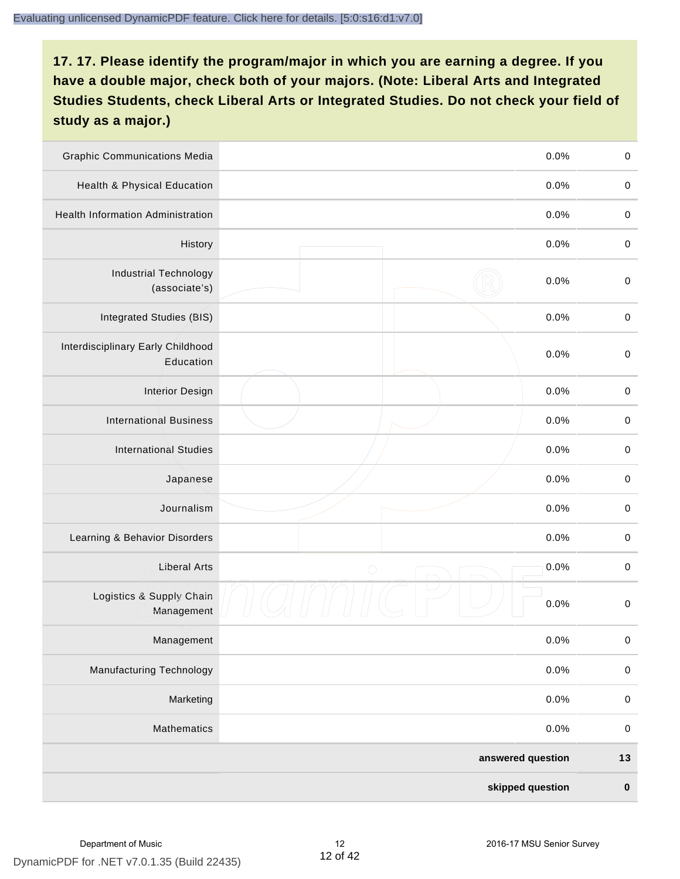| <b>Graphic Communications Media</b>            |                   | 0.0%             | $\mathbf 0$ |
|------------------------------------------------|-------------------|------------------|-------------|
| <b>Health &amp; Physical Education</b>         |                   | 0.0%             | $\mathbf 0$ |
| <b>Health Information Administration</b>       |                   | 0.0%             | $\mathbf 0$ |
| History                                        |                   | 0.0%             | $\pmb{0}$   |
| <b>Industrial Technology</b><br>(associate's)  |                   | 0.0%             | $\mathbf 0$ |
| Integrated Studies (BIS)                       |                   | 0.0%             | $\mathbf 0$ |
| Interdisciplinary Early Childhood<br>Education |                   | 0.0%             | $\mathbf 0$ |
| <b>Interior Design</b>                         |                   | 0.0%             | $\pmb{0}$   |
| <b>International Business</b>                  |                   | 0.0%             | $\mathbf 0$ |
| <b>International Studies</b>                   |                   | 0.0%             | $\mathbf 0$ |
| Japanese                                       |                   | 0.0%             | $\pmb{0}$   |
| Journalism                                     |                   | 0.0%             | $\pmb{0}$   |
| Learning & Behavior Disorders                  |                   | 0.0%             | $\mathbf 0$ |
| <b>Liberal Arts</b>                            | $\bigcirc$        | 0.0%             | $\pmb{0}$   |
| Logistics & Supply Chain<br>Management         |                   | 0.0%             | $\mathbf 0$ |
| Management                                     |                   | 0.0%             | $\pmb{0}$   |
| <b>Manufacturing Technology</b>                |                   | 0.0%             | $\pmb{0}$   |
| Marketing                                      |                   | 0.0%             | $\mathbf 0$ |
| Mathematics                                    |                   | 0.0%             | $\,0\,$     |
|                                                | answered question |                  | $13$        |
|                                                |                   | skipped question | $\pmb{0}$   |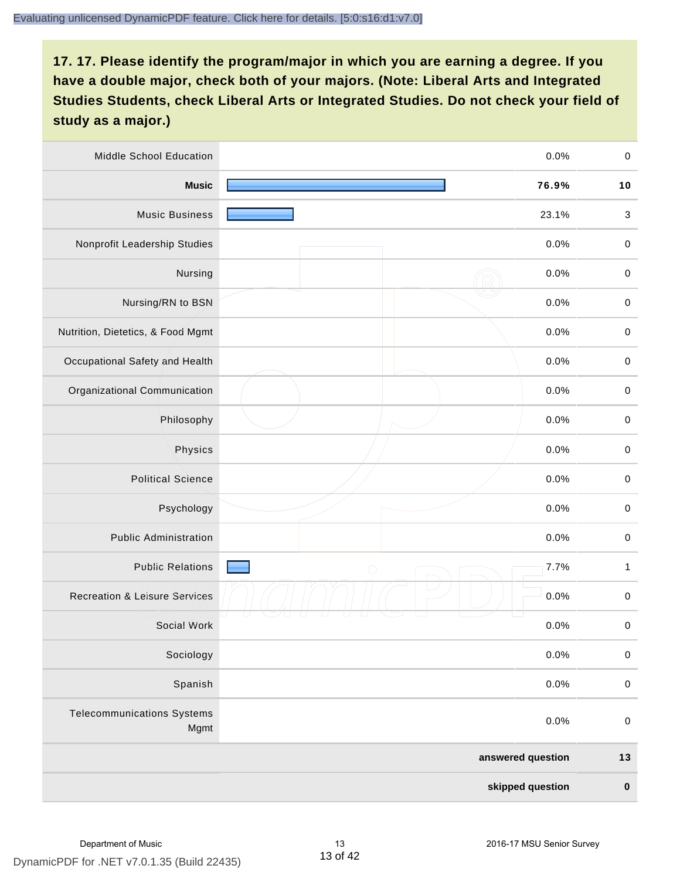| <b>Middle School Education</b>            | 0.0%               | $\,0\,$     |
|-------------------------------------------|--------------------|-------------|
| <b>Music</b>                              | 76.9%              | $10$        |
| <b>Music Business</b>                     | 23.1%              | $\sqrt{3}$  |
| Nonprofit Leadership Studies              | 0.0%               | $\pmb{0}$   |
| Nursing                                   | 0.0%               | $\pmb{0}$   |
| Nursing/RN to BSN                         | 0.0%               | $\,0\,$     |
| Nutrition, Dietetics, & Food Mgmt         | 0.0%               | $\pmb{0}$   |
| Occupational Safety and Health            | 0.0%               | $\mathbf 0$ |
| Organizational Communication              | 0.0%               | $\pmb{0}$   |
| Philosophy                                | 0.0%               | $\pmb{0}$   |
| Physics                                   | 0.0%               | $\,0\,$     |
| <b>Political Science</b>                  | 0.0%               | $\,0\,$     |
| Psychology                                | 0.0%               | $\mathbf 0$ |
| <b>Public Administration</b>              | 0.0%               | $\pmb{0}$   |
| <b>Public Relations</b>                   | 7.7%<br>$\bigcirc$ | 1           |
| <b>Recreation &amp; Leisure Services</b>  | 0.0%               | $\,0\,$     |
| Social Work                               | 0.0%               | $\,0\,$     |
| Sociology                                 | 0.0%               | $\mathbf 0$ |
| Spanish                                   | 0.0%               | $\pmb{0}$   |
| <b>Telecommunications Systems</b><br>Mgmt | 0.0%               | $\pmb{0}$   |
|                                           | answered question  | $13$        |
|                                           | skipped question   | $\pmb{0}$   |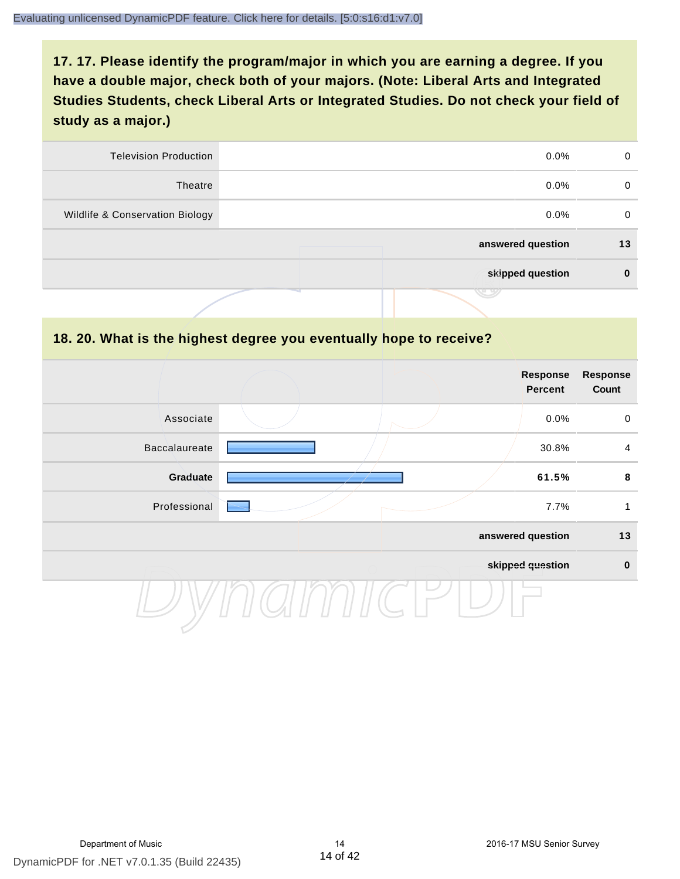| <b>Television Production</b>    | $0.0\%$           | 0  |
|---------------------------------|-------------------|----|
| Theatre                         | $0.0\%$           | 0  |
| Wildlife & Conservation Biology | $0.0\%$           | 0  |
|                                 | answered question | 13 |
|                                 | skipped question  | 0  |
|                                 | .                 |    |

#### **18. 20. What is the highest degree you eventually hope to receive?**

|               |  | Response<br>Percent | <b>Response</b><br>Count |
|---------------|--|---------------------|--------------------------|
| Associate     |  | 0.0%                | $\mathbf 0$              |
| Baccalaureate |  | 30.8%               | $\overline{4}$           |
| Graduate      |  | 61.5%               | 8                        |
| Professional  |  | 7.7%                | 1                        |
|               |  | answered question   | 13                       |
|               |  | skipped question    | $\pmb{0}$                |
|               |  |                     |                          |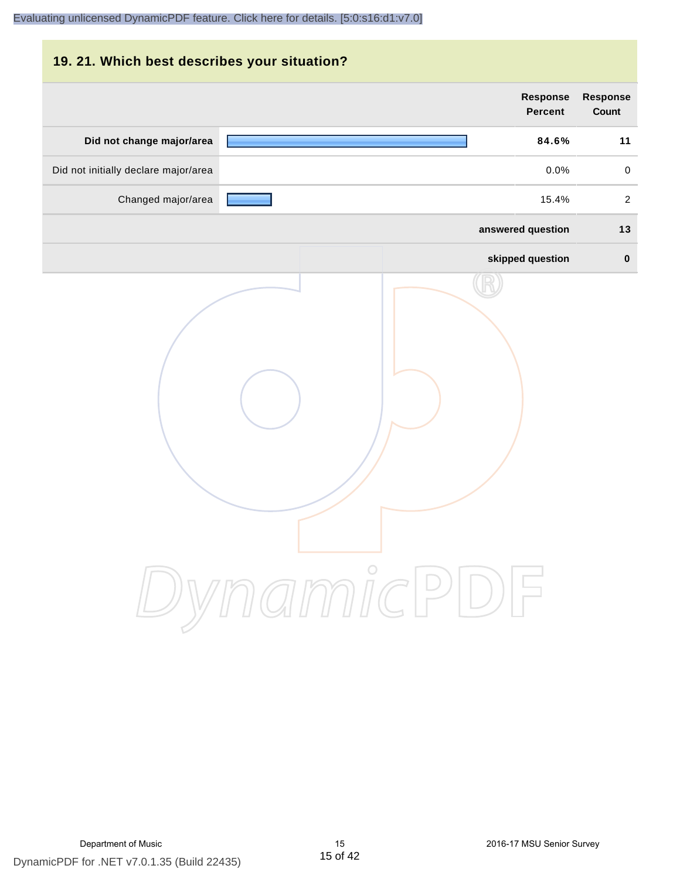| 19. 21. Which best describes your situation? |                                   |                                 |
|----------------------------------------------|-----------------------------------|---------------------------------|
|                                              | <b>Response</b><br><b>Percent</b> | <b>Response</b><br><b>Count</b> |
| Did not change major/area                    | 84.6%                             | 11                              |
| Did not initially declare major/area         | 0.0%                              | 0                               |
| Changed major/area                           | 15.4%                             | $\overline{2}$                  |
|                                              | answered question                 | 13                              |
|                                              | skipped question                  | $\mathbf 0$                     |
|                                              | DynamicPDF                        |                                 |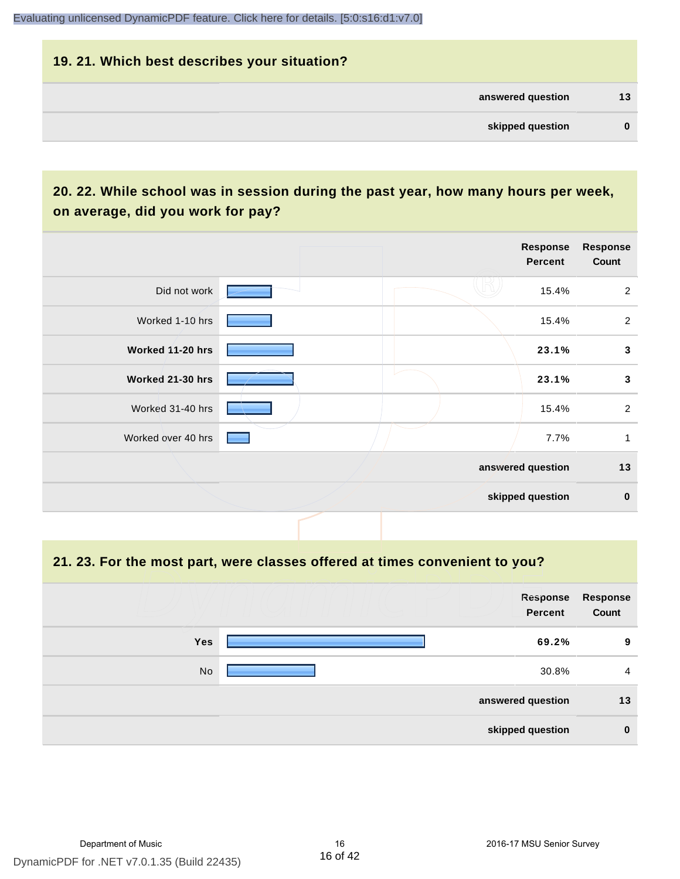## **19. 21. Which best describes your situation? answered question 13 skipped question 0**

## **20. 22. While school was in session during the past year, how many hours per week, on average, did you work for pay?**

|                    |  | Response<br><b>Percent</b> | <b>Response</b><br>Count |
|--------------------|--|----------------------------|--------------------------|
| Did not work       |  | 15.4%                      | 2                        |
| Worked 1-10 hrs    |  | 15.4%                      | $\overline{2}$           |
| Worked 11-20 hrs   |  | 23.1%                      | $\mathbf{3}$             |
| Worked 21-30 hrs   |  | 23.1%                      | 3                        |
| Worked 31-40 hrs   |  | 15.4%                      | $\overline{2}$           |
| Worked over 40 hrs |  | 7.7%                       | 1                        |
|                    |  | answered question          | 13                       |
|                    |  | skipped question           | $\mathbf 0$              |

### **21. 23. For the most part, were classes offered at times convenient to you?**

|            | Response<br>Percent | Response<br>Count |
|------------|---------------------|-------------------|
| <b>Yes</b> | 69.2%               | 9                 |
| No         | 30.8%               | 4                 |
|            | answered question   | 13                |
|            | skipped question    | $\bf{0}$          |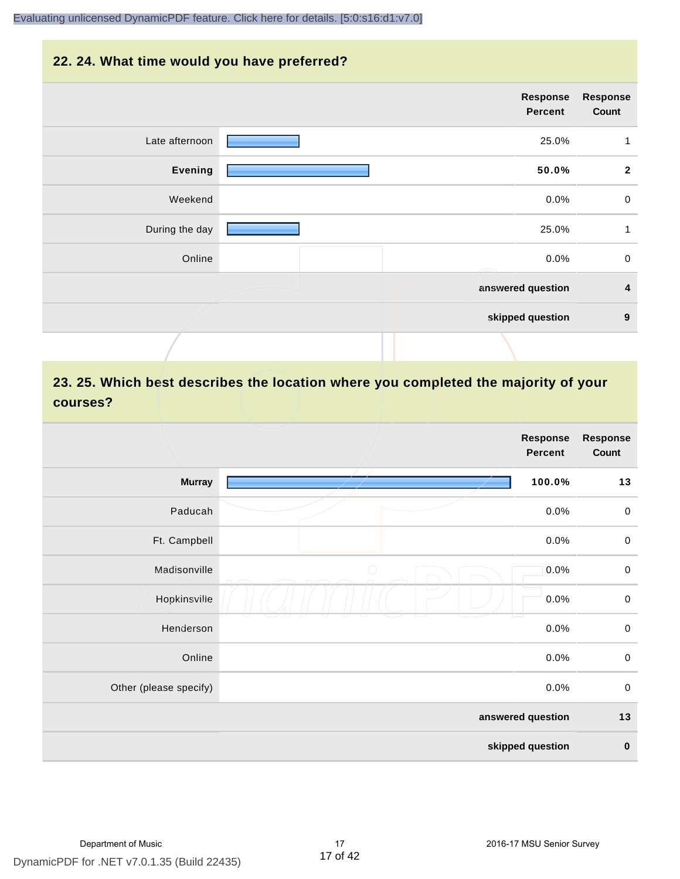## **22. 24. What time would you have preferred?**

|                | <b>Response</b><br>Percent | <b>Response</b><br>Count |
|----------------|----------------------------|--------------------------|
| Late afternoon | 25.0%                      | $\mathbf{1}$             |
| <b>Evening</b> | 50.0%                      | $\overline{\mathbf{2}}$  |
| Weekend        | 0.0%                       | $\mathbf 0$              |
| During the day | 25.0%                      | $\mathbf{1}$             |
| Online         | 0.0%                       | $\pmb{0}$                |
|                | answered question          | $\boldsymbol{4}$         |
|                | skipped question           | $\boldsymbol{9}$         |
|                |                            |                          |

## **23. 25. Which best describes the location where you completed the majority of your courses?**

|                        |            | Response<br><b>Percent</b> | <b>Response</b><br>Count |
|------------------------|------------|----------------------------|--------------------------|
| <b>Murray</b>          |            | 100.0%                     | 13                       |
| Paducah                |            | 0.0%                       | $\pmb{0}$                |
| Ft. Campbell           |            | 0.0%                       | $\mathbf 0$              |
| Madisonville           | $\bigcirc$ | 0.0%                       | $\mathbf 0$              |
| Hopkinsville           |            | 0.0%                       | $\pmb{0}$                |
| Henderson              |            | 0.0%                       | $\mathbf 0$              |
| Online                 |            | 0.0%                       | $\pmb{0}$                |
| Other (please specify) |            | 0.0%                       | $\pmb{0}$                |
|                        |            | answered question          | $13$                     |
|                        |            | skipped question           | $\pmb{0}$                |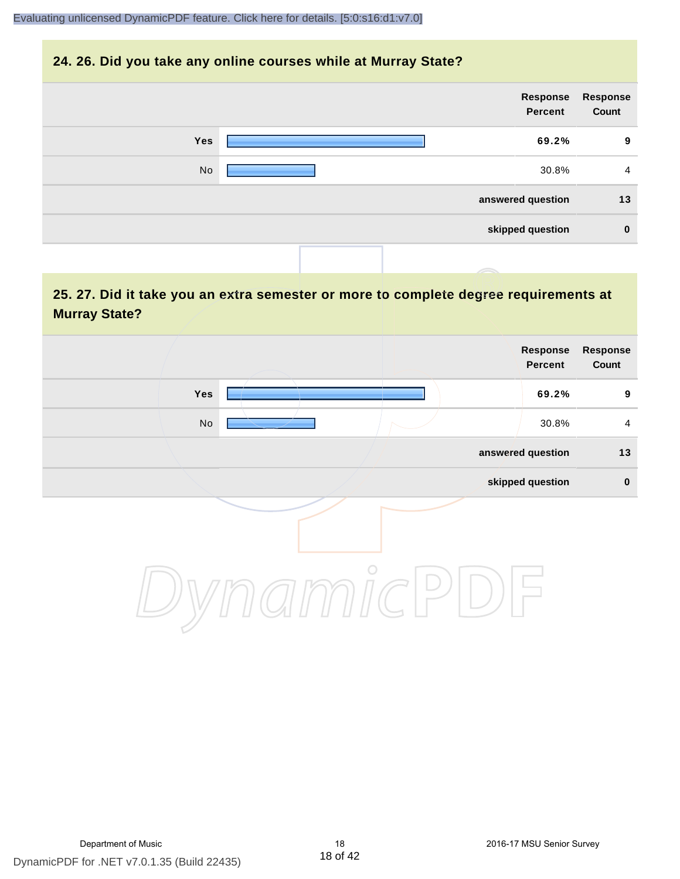## **24. 26. Did you take any online courses while at Murray State?**

| <b>Response</b><br>Count | Response<br>Percent |            |
|--------------------------|---------------------|------------|
| 9                        | 69.2%               | <b>Yes</b> |
| $\overline{4}$           | 30.8%               | No         |
| 13                       | answered question   |            |
| $\bf{0}$                 | skipped question    |            |
|                          |                     |            |

## **25. 27. Did it take you an extra semester or more to complete degree requirements at Murray State?**

| <b>Response</b><br>Count | Response<br>Percent |  |                              |  |
|--------------------------|---------------------|--|------------------------------|--|
| $\boldsymbol{9}$         | 69.2%               |  | Yes                          |  |
| $\overline{4}$           | 30.8%               |  | $\operatorname{\mathsf{No}}$ |  |
| $13$                     | answered question   |  |                              |  |
| $\pmb{0}$                | skipped question    |  |                              |  |
|                          |                     |  |                              |  |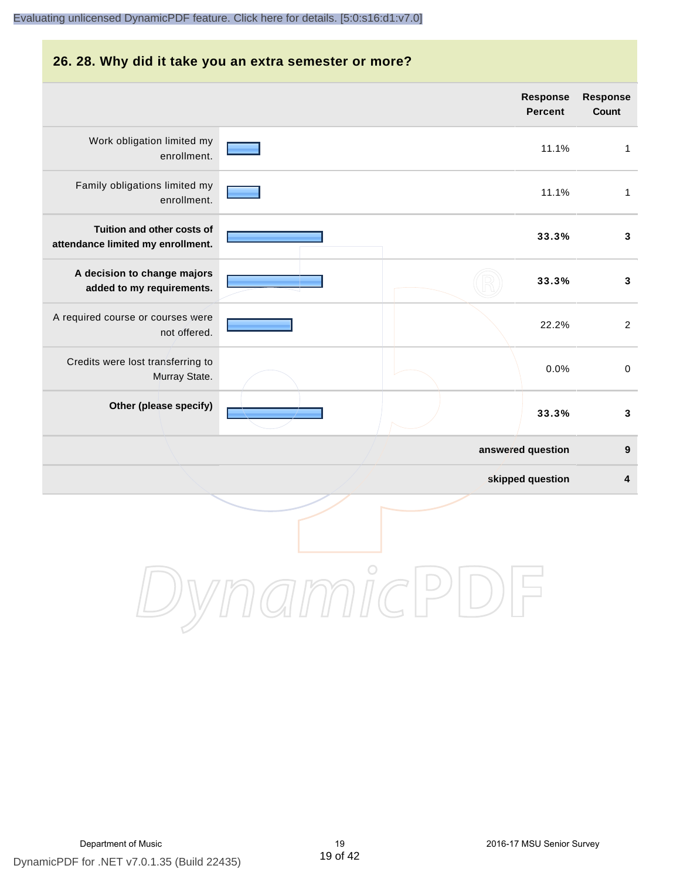## **26. 28. Why did it take you an extra semester or more? Response Response Percent Count** Work obligation limited my 11.1% 1 enrollment. Family obligations limited my 11.1% 1 enrollment. **Tuition and other costs of 33.3% 3 attendance limited my enrollment. A decision to change majors 33.3% 3 added to my requirements.** A required course or courses were 22.2% 2 not offered. Credits were lost transferring to 0.0% 0 Murray State. **Other (please specify) 33.3% 3 answered question 9 skipped question 4** DynamicPDF

## Department of Music 19 2016-17 MSU Senior Survey

DynamicPDF for .NET v7.0.1.35 (Build 22435)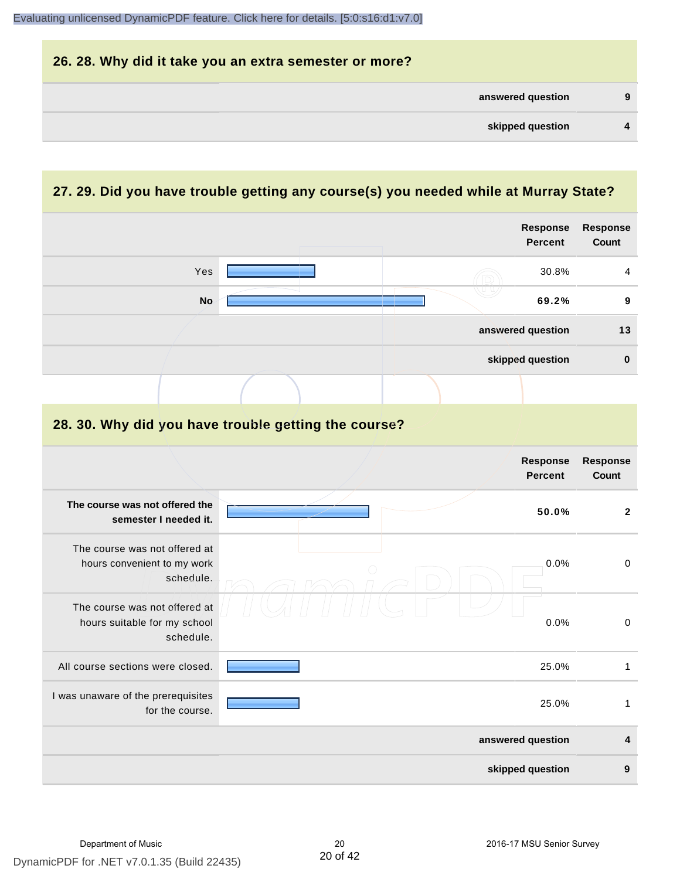

## **27. 29. Did you have trouble getting any course(s) you needed while at Murray State?**

|                                                                            |  | <b>Response</b><br><b>Percent</b> | <b>Response</b><br>Count |
|----------------------------------------------------------------------------|--|-----------------------------------|--------------------------|
| Yes                                                                        |  | 30.8%                             | 4                        |
| <b>No</b>                                                                  |  | 69.2%                             | 9                        |
|                                                                            |  | answered question                 | 13                       |
|                                                                            |  | skipped question                  | $\mathbf 0$              |
|                                                                            |  |                                   |                          |
| 28. 30. Why did you have trouble getting the course?                       |  |                                   |                          |
|                                                                            |  | <b>Response</b><br><b>Percent</b> | <b>Response</b><br>Count |
| The course was not offered the<br>semester I needed it.                    |  | 50.0%                             | $\mathbf{2}$             |
| The course was not offered at<br>hours convenient to my work<br>schedule.  |  | 0.0%                              | $\pmb{0}$                |
| The course was not offered at<br>hours suitable for my school<br>schedule. |  | 0.0%                              | $\pmb{0}$                |
| All course sections were closed.                                           |  | 25.0%                             | $\mathbf{1}$             |
| I was unaware of the prerequisites<br>for the course.                      |  | 25.0%                             | $\mathbf{1}$             |
|                                                                            |  | answered question                 | $\overline{\mathbf{4}}$  |
|                                                                            |  | skipped question                  | 9                        |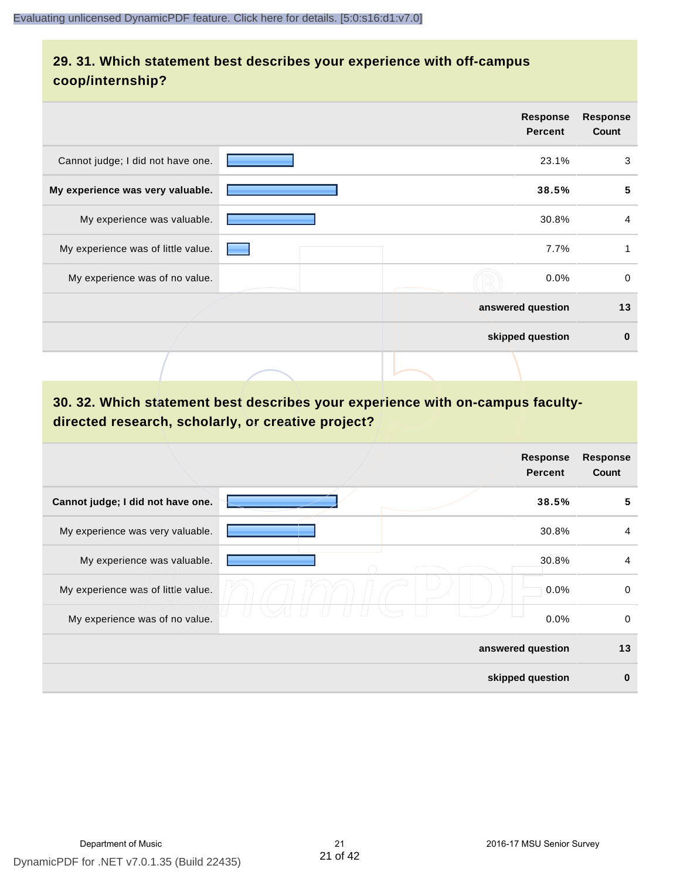## **29. 31. Which statement best describes your experience with off-campus coop/internship?**

|                                    | <b>Response</b><br><b>Percent</b> | <b>Response</b><br>Count |
|------------------------------------|-----------------------------------|--------------------------|
| Cannot judge; I did not have one.  | 23.1%                             | 3                        |
| My experience was very valuable.   | 38.5%                             | 5                        |
| My experience was valuable.        | 30.8%                             | $\overline{4}$           |
| My experience was of little value. | 7.7%                              | 1                        |
| My experience was of no value.     | $0.0\%$                           | $\mathbf 0$              |
|                                    | answered question                 | 13                       |
|                                    | skipped question                  | $\bf{0}$                 |
|                                    |                                   |                          |

## **30. 32. Which statement best describes your experience with on-campus facultydirected research, scholarly, or creative project?**

|                                    | <b>Response</b><br><b>Percent</b> | <b>Response</b><br>Count |
|------------------------------------|-----------------------------------|--------------------------|
| Cannot judge; I did not have one.  | 38.5%                             | 5                        |
| My experience was very valuable.   | 30.8%                             | $\overline{4}$           |
| My experience was valuable.        | 30.8%                             | $\overline{4}$           |
| My experience was of little value. | 0.0%                              | 0                        |
| My experience was of no value.     | 0.0%                              | 0                        |
|                                    | answered question                 | 13                       |
|                                    | skipped question                  | $\bf{0}$                 |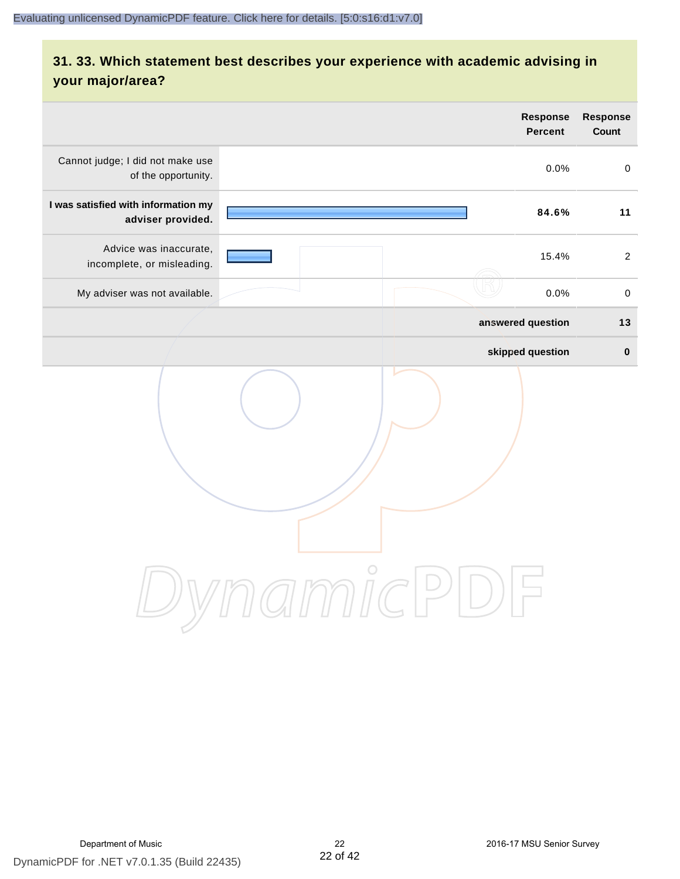## **31. 33. Which statement best describes your experience with academic advising in your major/area?**

|                                                          | Response<br><b>Percent</b> | Response<br>Count |
|----------------------------------------------------------|----------------------------|-------------------|
| Cannot judge; I did not make use<br>of the opportunity.  | 0.0%                       | $\mathbf 0$       |
| I was satisfied with information my<br>adviser provided. | 84.6%                      | 11                |
| Advice was inaccurate,<br>incomplete, or misleading.     | 15.4%                      | $\overline{2}$    |
| My adviser was not available.                            | 0.0%                       | $\,0\,$           |
|                                                          | answered question          | 13                |
|                                                          | skipped question           | $\pmb{0}$         |
|                                                          | amnicPD                    |                   |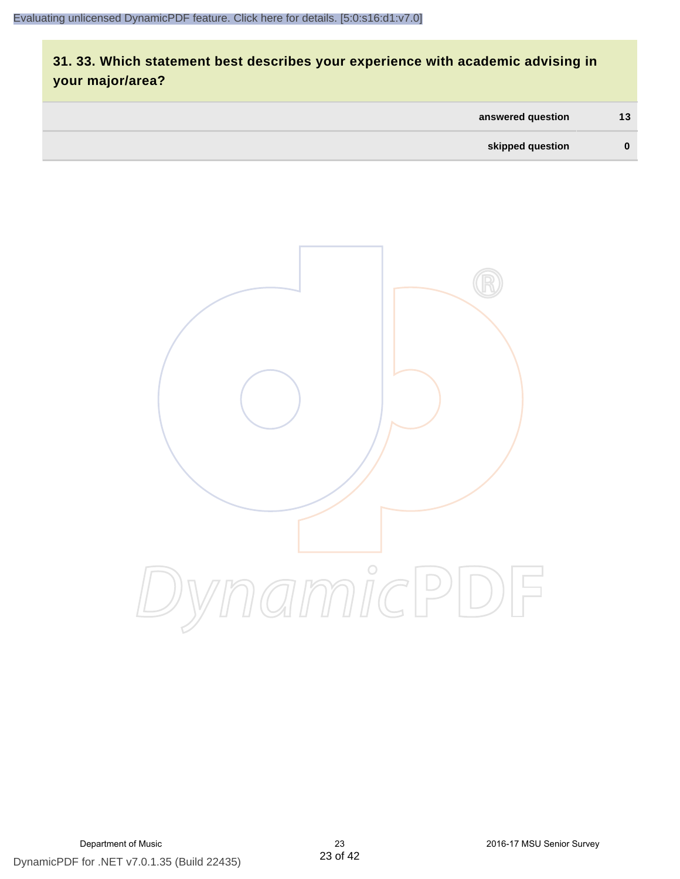## **31. 33. Which statement best describes your experience with academic advising in your major/area?**

| answered question | 13       |
|-------------------|----------|
| skipped question  | $\bf{0}$ |

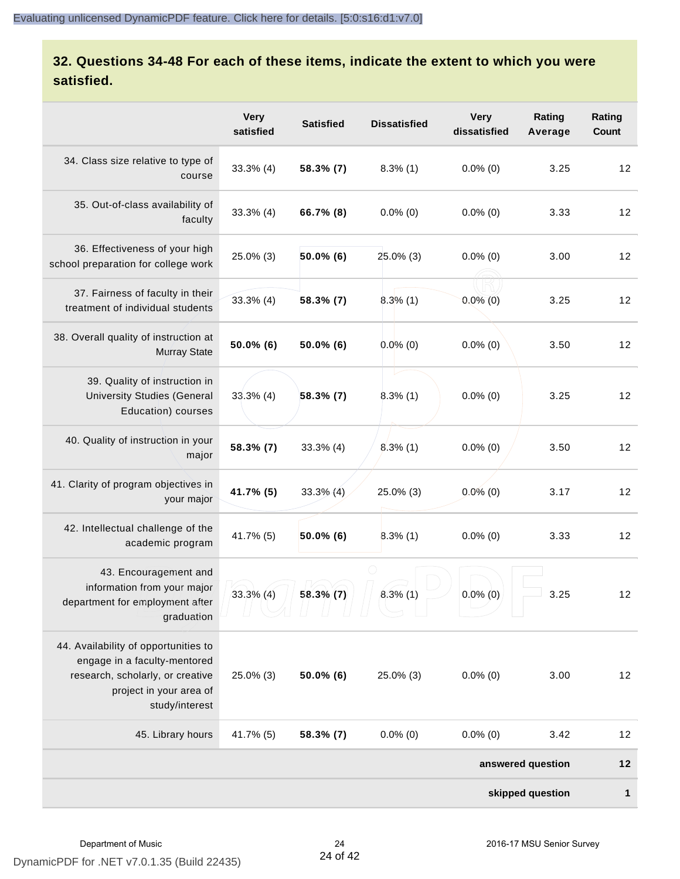## **32. Questions 34-48 For each of these items, indicate the extent to which you were satisfied.**

|                                                                                                                                                       | <b>Very</b><br>satisfied | <b>Satisfied</b> | <b>Dissatisfied</b> | <b>Very</b><br>dissatisfied | Rating<br>Average | Rating<br>Count |
|-------------------------------------------------------------------------------------------------------------------------------------------------------|--------------------------|------------------|---------------------|-----------------------------|-------------------|-----------------|
| 34. Class size relative to type of<br>course                                                                                                          | $33.3\%$ (4)             | 58.3% (7)        | $8.3\%$ (1)         | $0.0\%$ (0)                 | 3.25              | 12              |
| 35. Out-of-class availability of<br>faculty                                                                                                           | $33.3\%$ (4)             | 66.7% (8)        | $0.0\%$ (0)         | $0.0\%$ (0)                 | 3.33              | 12              |
| 36. Effectiveness of your high<br>school preparation for college work                                                                                 | 25.0% (3)                | 50.0% (6)        | 25.0% (3)           | $0.0\%$ (0)                 | 3.00              | 12              |
| 37. Fairness of faculty in their<br>treatment of individual students                                                                                  | 33.3% (4)                | 58.3% (7)        | $8.3\%$ (1)         | $0.0\%$ (0)                 | 3.25              | 12              |
| 38. Overall quality of instruction at<br><b>Murray State</b>                                                                                          | $50.0\%$ (6)             | 50.0% (6)        | $0.0\%$ (0)         | $0.0\%$ (0)                 | 3.50              | 12              |
| 39. Quality of instruction in<br><b>University Studies (General</b><br>Education) courses                                                             | $33.3\%$ (4)             | 58.3% (7)        | $8.3\%$ (1)         | $0.0\%$ (0)                 | 3.25              | 12              |
| 40. Quality of instruction in your<br>major                                                                                                           | 58.3% (7)                | $33.3%$ (4)      | $8.3\%$ (1)         | $0.0\%$ (0)                 | 3.50              | 12              |
| 41. Clarity of program objectives in<br>your major                                                                                                    | 41.7% (5)                | $33.3\%$ (4)     | 25.0% (3)           | $0.0\%$ (0)                 | 3.17              | 12              |
| 42. Intellectual challenge of the<br>academic program                                                                                                 | 41.7% (5)                | $50.0\%$ (6)     | $8.3\%$ (1)         | $0.0\%$ (0)                 | 3.33              | 12              |
| 43. Encouragement and<br>information from your major<br>department for employment after<br>graduation                                                 | $33.3\%$ (4)             | $58.3\%$ (7)     | $8.3\%$ (1)         | $0.0\%$ (0)                 | 3.25              | 12              |
| 44. Availability of opportunities to<br>engage in a faculty-mentored<br>research, scholarly, or creative<br>project in your area of<br>study/interest | 25.0% (3)                | $50.0\%$ (6)     | 25.0% (3)           | $0.0\%$ (0)                 | 3.00              | 12              |
| 45. Library hours                                                                                                                                     | 41.7% (5)                | $58.3\%$ (7)     | $0.0\%$ (0)         | $0.0\%$ (0)                 | 3.42              | 12              |
|                                                                                                                                                       |                          |                  |                     |                             | answered question | 12              |
|                                                                                                                                                       |                          |                  |                     |                             | skipped question  | 1               |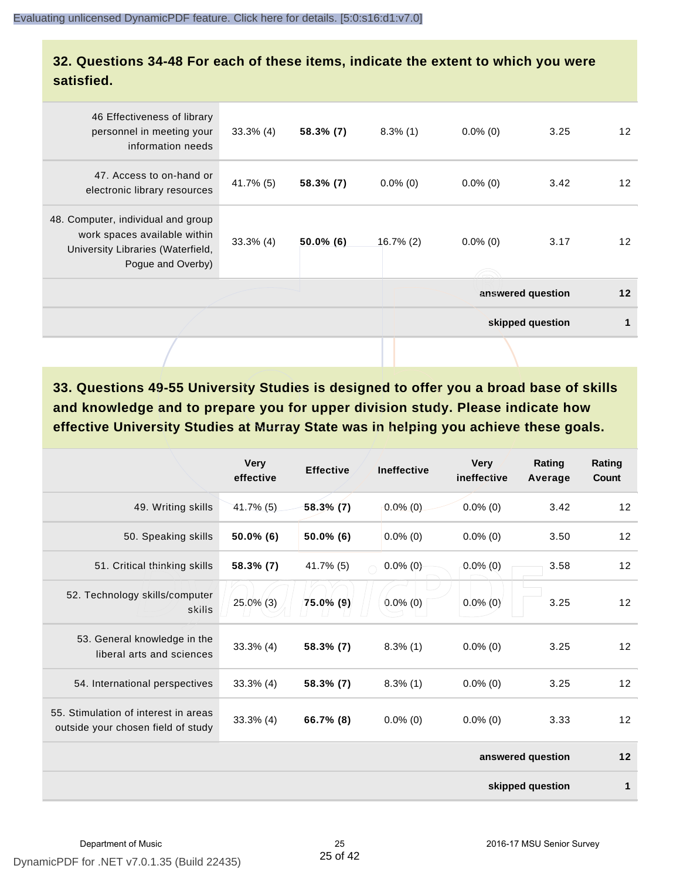## **32. Questions 34-48 For each of these items, indicate the extent to which you were satisfied.**

| 46 Effectiveness of library<br>personnel in meeting your<br>information needs                                                | $33.3\%$ (4) | $58.3\%$ (7) | $8.3\%$ (1) | $0.0\%$ (0) | 3.25              | $12 \overline{ }$ |
|------------------------------------------------------------------------------------------------------------------------------|--------------|--------------|-------------|-------------|-------------------|-------------------|
| 47. Access to on-hand or<br>electronic library resources                                                                     | 41.7% (5)    | 58.3% (7)    | $0.0\%$ (0) | $0.0\%$ (0) | 3.42              | $12 \overline{ }$ |
| 48. Computer, individual and group<br>work spaces available within<br>University Libraries (Waterfield,<br>Pogue and Overby) | $33.3\%$ (4) | $50.0\%$ (6) | 16.7% (2)   | $0.0\%$ (0) | 3.17              | $12 \overline{ }$ |
|                                                                                                                              |              |              |             |             | answered question | 12                |
|                                                                                                                              |              |              |             |             | skipped question  | 1                 |
|                                                                                                                              |              |              |             |             |                   |                   |

**33. Questions 49-55 University Studies is designed to offer you a broad base of skills and knowledge and to prepare you for upper division study. Please indicate how effective University Studies at Murray State was in helping you achieve these goals.**

|                                                                            | <b>Very</b><br>effective | <b>Effective</b> | <b>Ineffective</b> | <b>Very</b><br>ineffective | Rating<br>Average | Rating<br>Count |
|----------------------------------------------------------------------------|--------------------------|------------------|--------------------|----------------------------|-------------------|-----------------|
| 49. Writing skills                                                         | 41.7% (5)                | $58.3\%$ (7)     | $0.0\%$ (0)        | $0.0\%$ (0)                | 3.42              | 12              |
| 50. Speaking skills                                                        | $50.0\%$ (6)             | $50.0\%$ (6)     | $0.0\%$ (0)        | $0.0\%$ (0)                | 3.50              | 12              |
| 51. Critical thinking skills                                               | 58.3% (7)                | 41.7% (5)        | $0.0\%$ (0)        | $0.0\%$ (0)                | 3.58              | 12              |
| 52. Technology skills/computer<br>skills                                   | 25.0% (3)                | 75.0% (9)        | $0.0\%$ (0)        | $0.0\%$ (0)                | 3.25              | 12              |
| 53. General knowledge in the<br>liberal arts and sciences                  | $33.3\%$ (4)             | $58.3\%$ (7)     | $8.3\%$ (1)        | $0.0\%$ (0)                | 3.25              | 12              |
| 54. International perspectives                                             | $33.3\%$ (4)             | 58.3% (7)        | $8.3\%$ (1)        | $0.0\%$ (0)                | 3.25              | 12              |
| 55. Stimulation of interest in areas<br>outside your chosen field of study | $33.3\%$ (4)             | 66.7% (8)        | $0.0\%$ (0)        | $0.0\%$ (0)                | 3.33              | 12              |
|                                                                            |                          |                  |                    |                            | answered question | 12              |
|                                                                            |                          |                  |                    |                            | skipped question  | $\mathbf 1$     |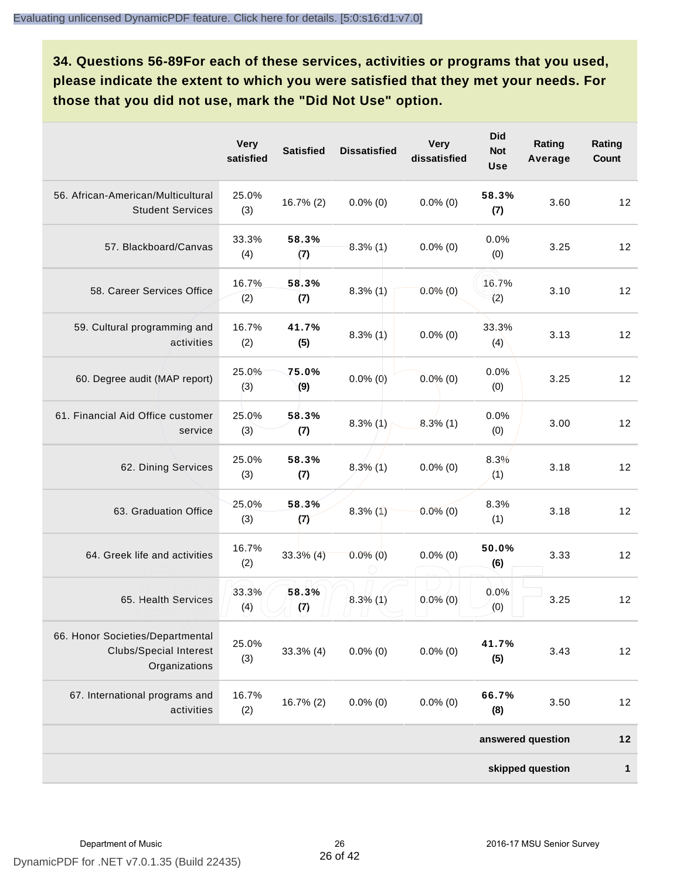**34. Questions 56-89For each of these services, activities or programs that you used, please indicate the extent to which you were satisfied that they met your needs. For those that you did not use, mark the "Did Not Use" option.**

|                                                                                    | <b>Very</b><br>satisfied | <b>Satisfied</b> | <b>Dissatisfied</b> | <b>Very</b><br>dissatisfied | <b>Did</b><br><b>Not</b><br><b>Use</b> | Rating<br>Average | Rating<br>Count |
|------------------------------------------------------------------------------------|--------------------------|------------------|---------------------|-----------------------------|----------------------------------------|-------------------|-----------------|
| 56. African-American/Multicultural<br><b>Student Services</b>                      | 25.0%<br>(3)             | $16.7\%$ (2)     | $0.0\%$ (0)         | $0.0\%$ (0)                 | 58.3%<br>(7)                           | 3.60              | 12              |
| 57. Blackboard/Canvas                                                              | 33.3%<br>(4)             | 58.3%<br>(7)     | $8.3\%$ (1)         | $0.0\%$ (0)                 | 0.0%<br>(0)                            | 3.25              | 12              |
| 58. Career Services Office                                                         | 16.7%<br>(2)             | 58.3%<br>(7)     | $8.3\%$ (1)         | $0.0\%$ (0)                 | 16.7%<br>(2)                           | 3.10              | 12              |
| 59. Cultural programming and<br>activities                                         | 16.7%<br>(2)             | 41.7%<br>(5)     | $8.3\%$ (1)         | $0.0\%$ (0)                 | 33.3%<br>(4)                           | 3.13              | 12              |
| 60. Degree audit (MAP report)                                                      | 25.0%<br>(3)             | 75.0%<br>(9)     | $0.0\%$ (0)         | $0.0\%$ (0)                 | 0.0%<br>(0)                            | 3.25              | 12              |
| 61. Financial Aid Office customer<br>service                                       | 25.0%<br>(3)             | 58.3%<br>(7)     | 8.3% $(1)$          | $8.3\%$ (1)                 | 0.0%<br>(0)                            | 3.00              | 12              |
| 62. Dining Services                                                                | 25.0%<br>(3)             | 58.3%<br>(7)     | $8,3\%$ (1)         | $0.0\%$ (0)                 | 8.3%<br>(1)                            | 3.18              | 12              |
| 63. Graduation Office                                                              | 25.0%<br>(3)             | 58.3%<br>(7)     | $8.3\%$ (1)         | $0.0\%$ (0)                 | 8.3%<br>(1)                            | 3.18              | 12              |
| 64. Greek life and activities                                                      | 16.7%<br>(2)             | $33.3\%$ (4)     | $0.0\%$ (0)         | $0.0\%$ (0)                 | 50.0%<br>(6)                           | 3.33              | 12              |
| 65. Health Services                                                                | 33.3%<br>(4)             | 58.3%<br>(7)     | $8.3\%$ (1)         | $0.0\%$ (0)                 | 0.0%<br>(0)                            | 3.25              | 12              |
| 66. Honor Societies/Departmental<br><b>Clubs/Special Interest</b><br>Organizations | 25.0%<br>(3)             | $33.3%$ (4)      | $0.0\%$ (0)         | $0.0\%$ (0)                 | 41.7%<br>(5)                           | 3.43              | 12              |
| 67. International programs and<br>activities                                       | 16.7%<br>(2)             | $16.7\%$ (2)     | $0.0\%$ (0)         | $0.0\%$ (0)                 | 66.7%<br>(8)                           | 3.50              | 12              |
|                                                                                    |                          |                  |                     |                             |                                        | answered question | $12$            |
|                                                                                    |                          |                  |                     |                             |                                        | skipped question  | 1               |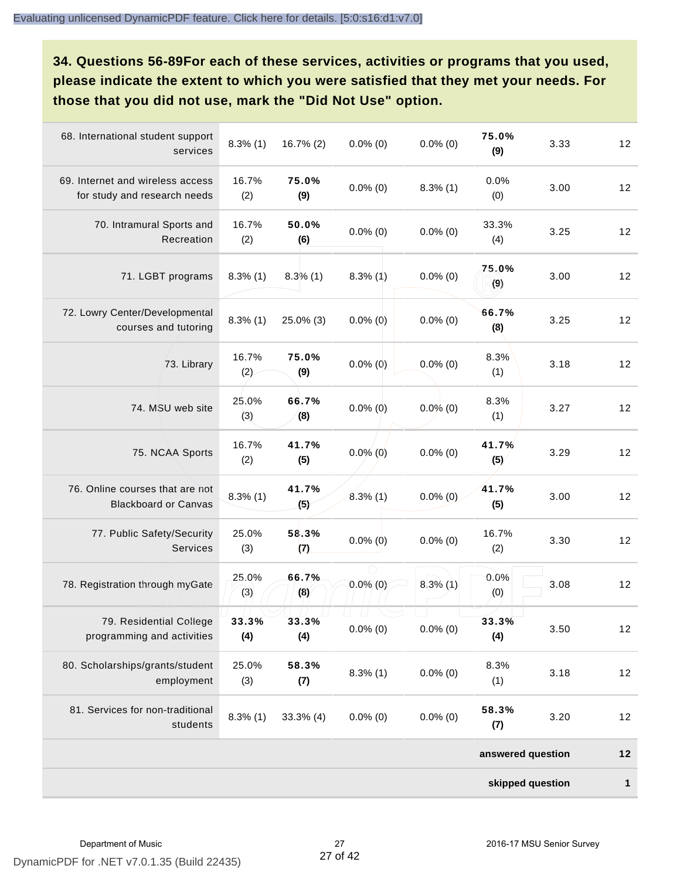**34. Questions 56-89For each of these services, activities or programs that you used, please indicate the extent to which you were satisfied that they met your needs. For those that you did not use, mark the "Did Not Use" option.**

| 68. International student support<br>services                    | $8.3\%$ (1)  | $16.7\%$ (2) | $0.0\%$ (0) | $0.0\%$ (0) | 75.0%<br>(9)      | 3.33 | 12           |
|------------------------------------------------------------------|--------------|--------------|-------------|-------------|-------------------|------|--------------|
| 69. Internet and wireless access<br>for study and research needs | 16.7%<br>(2) | 75.0%<br>(9) | $0.0\%$ (0) | $8.3\%$ (1) | 0.0%<br>(0)       | 3.00 | 12           |
| 70. Intramural Sports and<br>Recreation                          | 16.7%<br>(2) | 50.0%<br>(6) | $0.0\%$ (0) | $0.0\%$ (0) | 33.3%<br>(4)      | 3.25 | 12           |
| 71. LGBT programs                                                | $8.3\%$ (1)  | $8.3\%$ (1)  | $8.3\%$ (1) | $0.0\%$ (0) | 75.0%<br>(9)      | 3.00 | 12           |
| 72. Lowry Center/Developmental<br>courses and tutoring           | $8.3\%$ (1)  | 25.0% (3)    | $0.0\%$ (0) | $0.0\%$ (0) | 66.7%<br>(8)      | 3.25 | 12           |
| 73. Library                                                      | 16.7%<br>(2) | 75.0%<br>(9) | $0.0\%$ (0) | $0.0\%$ (0) | 8.3%<br>(1)       | 3.18 | 12           |
| 74. MSU web site                                                 | 25.0%<br>(3) | 66.7%<br>(8) | $0.0\%$ (0) | $0.0\%$ (0) | 8.3%<br>(1)       | 3.27 | 12           |
| 75. NCAA Sports                                                  | 16.7%<br>(2) | 41.7%<br>(5) | $0.0\%$ (0) | $0.0\%$ (0) | 41.7%<br>(5)      | 3.29 | 12           |
| 76. Online courses that are not<br><b>Blackboard or Canvas</b>   | $8.3\%$ (1)  | 41.7%<br>(5) | $8.3\%$ (1) | $0.0\%$ (0) | 41.7%<br>(5)      | 3.00 | 12           |
| 77. Public Safety/Security<br><b>Services</b>                    | 25.0%<br>(3) | 58.3%<br>(7) | $0.0\%$ (0) | $0.0\%$ (0) | 16.7%<br>(2)      | 3.30 | 12           |
| 78. Registration through myGate                                  | 25.0%<br>(3) | 66.7%<br>(8) | $0.0\%$ (0) | $8.3\%$ (1) | 0.0%<br>(0)       | 3.08 | 12           |
| 79. Residential College<br>programming and activities            | 33.3%<br>(4) | 33.3%<br>(4) | $0.0\%$ (0) | $0.0\%$ (0) | 33.3%<br>(4)      | 3.50 | 12           |
| 80. Scholarships/grants/student<br>employment                    | 25.0%<br>(3) | 58.3%<br>(7) | $8.3\%$ (1) | $0.0\%$ (0) | 8.3%<br>(1)       | 3.18 | 12           |
| 81. Services for non-traditional<br>students                     | $8.3\%$ (1)  | $33.3%$ (4)  | $0.0\%$ (0) | $0.0\%$ (0) | 58.3%<br>(7)      | 3.20 | 12           |
|                                                                  |              |              |             |             | answered question |      | $12$         |
|                                                                  |              |              |             |             | skipped question  |      | $\mathbf{1}$ |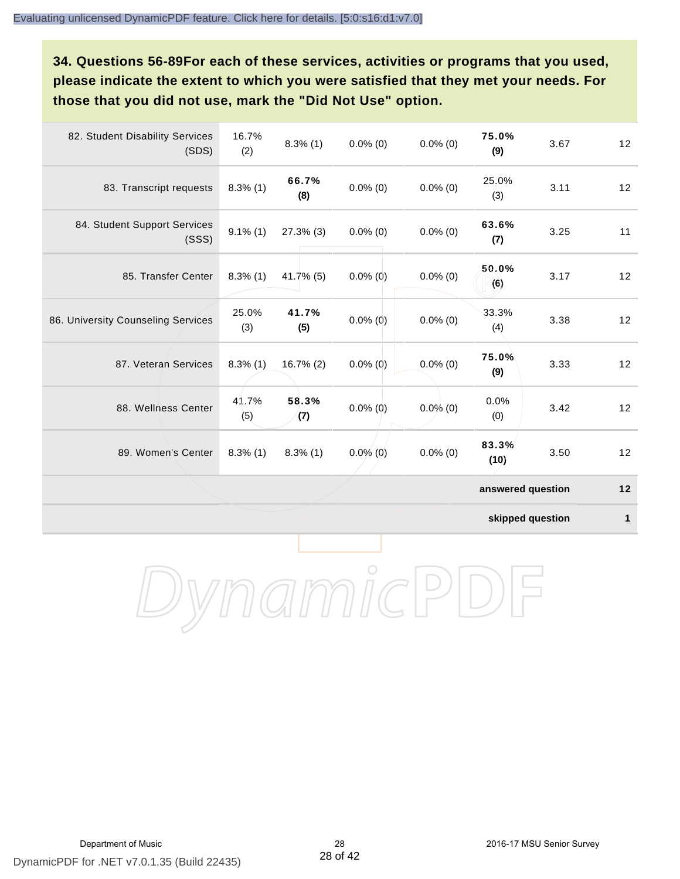## **34. Questions 56-89For each of these services, activities or programs that you used, please indicate the extent to which you were satisfied that they met your needs. For those that you did not use, mark the "Did Not Use" option.**

| 82. Student Disability Services<br>(SDS) | 16.7%<br>(2) | $8.3\%$ (1)  | $0.0\%$ (0) | $0.0\%$ (0) | 75.0%<br>(9)      | 3.67 | 12   |
|------------------------------------------|--------------|--------------|-------------|-------------|-------------------|------|------|
| 83. Transcript requests                  | $8.3\%$ (1)  | 66.7%<br>(8) | $0.0\%$ (0) | $0.0\%$ (0) | 25.0%<br>(3)      | 3.11 | 12   |
| 84. Student Support Services<br>(SSS)    | $9.1\%$ (1)  | $27.3\%$ (3) | $0.0\%$ (0) | $0.0\%$ (0) | 63.6%<br>(7)      | 3.25 | 11   |
| 85. Transfer Center                      | $8.3\%$ (1)  | $41.7\%$ (5) | $0.0\%$ (0) | $0.0\%$ (0) | 50.0%<br>(6)      | 3.17 | 12   |
| 86. University Counseling Services       | 25.0%<br>(3) | 41.7%<br>(5) | $0.0\%$ (0) | $0.0\%$ (0) | 33.3%<br>(4)      | 3.38 | 12   |
| 87. Veteran Services                     | $8.3\%$ (1)  | $16.7\%$ (2) | $0.0\%$ (0) | $0.0\%$ (0) | 75.0%<br>(9)      | 3.33 | 12   |
| 88. Wellness Center                      | 41.7%<br>(5) | 58.3%<br>(7) | $0.0\%$ (0) | $0.0\%$ (0) | 0.0%<br>(0)       | 3.42 | 12   |
| 89. Women's Center                       | $8.3\%$ (1)  | $8.3\%$ (1)  | $0.0\%$ (0) | $0.0\%$ (0) | 83.3%<br>(10)     | 3.50 | 12   |
|                                          |              |              |             |             | answered question |      | $12$ |

**skipped question 1**

DynamicPDF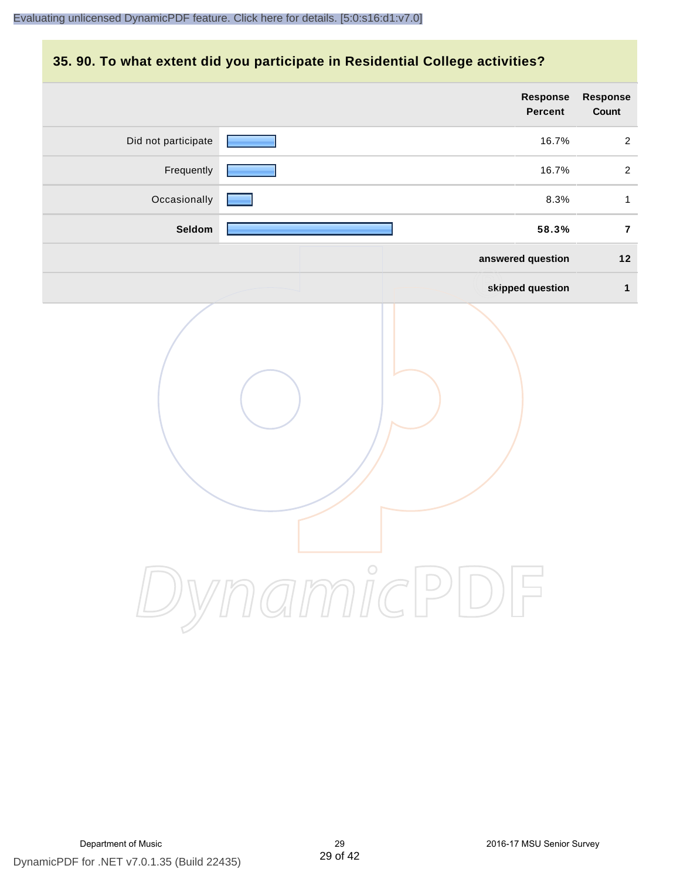## **35. 90. To what extent did you participate in Residential College activities?**

|                     | Response<br>Percent | Response<br>Count |
|---------------------|---------------------|-------------------|
| Did not participate | 16.7%               | $\overline{2}$    |
| Frequently          | 16.7%               | $\overline{c}$    |
| Occasionally        | 8.3%                | $\mathbf{1}$      |
| Seldom              | 58.3%               | $\overline{7}$    |
|                     | answered question   | $12$              |
|                     | skipped question    | $\mathbf{1}$      |
|                     | ynamicPD            |                   |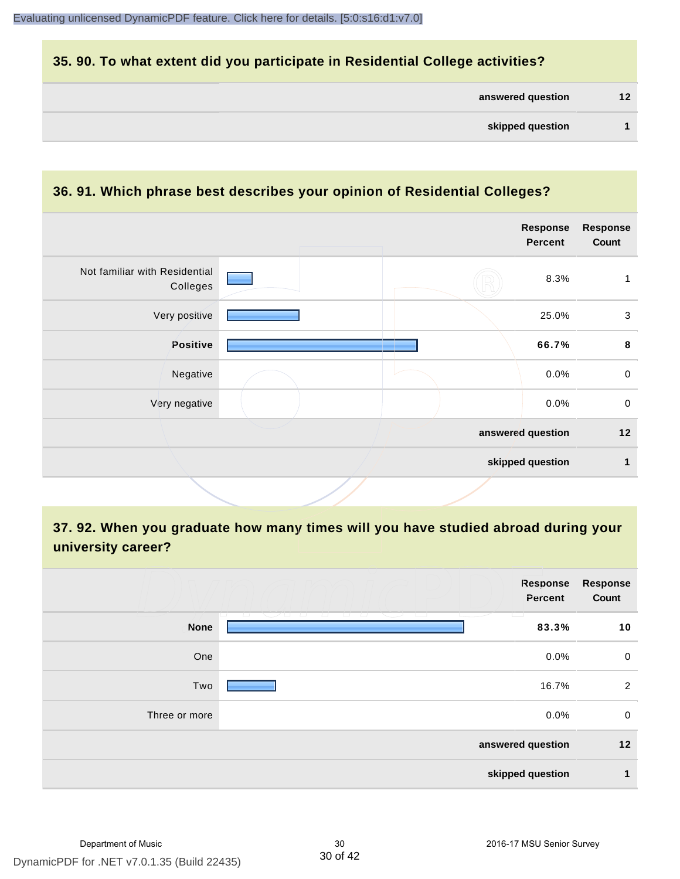## **35. 90. To what extent did you participate in Residential College activities?**

| answered question | 12 |
|-------------------|----|
|                   |    |

### **36. 91. Which phrase best describes your opinion of Residential Colleges?**

|                                           |  | Response<br><b>Percent</b> | <b>Response</b><br>Count |
|-------------------------------------------|--|----------------------------|--------------------------|
| Not familiar with Residential<br>Colleges |  | 8.3%                       |                          |
| Very positive                             |  | 25.0%                      | $\sqrt{3}$               |
| Positive                                  |  | 66.7%                      | $\bf8$                   |
| Negative                                  |  | 0.0%                       | $\mathbf 0$              |
| Very negative                             |  | 0.0%                       | $\mathbf 0$              |
|                                           |  | answered question          | $12$                     |
|                                           |  | skipped question           | $\mathbf{1}$             |

**37. 92. When you graduate how many times will you have studied abroad during your university career?**

|               | Response<br>Percent                                                                   | <b>Response</b><br>Count |
|---------------|---------------------------------------------------------------------------------------|--------------------------|
| <b>None</b>   | - 1 - 1 - 1<br>$\overline{\phantom{a}}$<br><b>Contract Contract Contract</b><br>83.3% | 10                       |
| One           | $0.0\%$                                                                               | 0                        |
| Two           | 16.7%                                                                                 | $\overline{2}$           |
| Three or more | $0.0\%$                                                                               | $\mathbf 0$              |
|               | answered question                                                                     | 12                       |
|               | skipped question                                                                      | 1                        |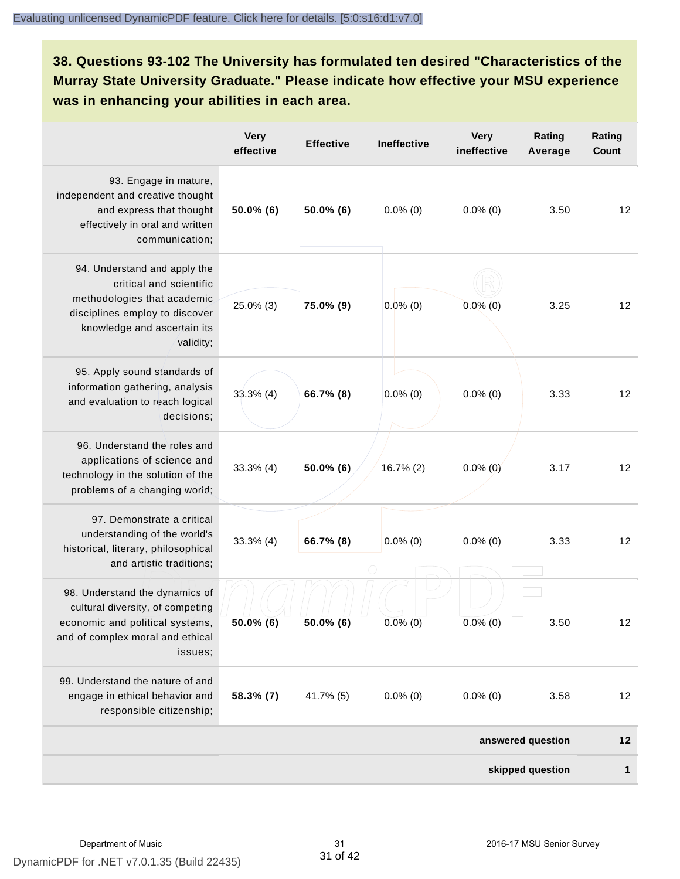**38. Questions 93-102 The University has formulated ten desired "Characteristics of the Murray State University Graduate." Please indicate how effective your MSU experience was in enhancing your abilities in each area.**

|                                                                                                                                                      | <b>Very</b><br>effective | <b>Effective</b> | <b>Ineffective</b> | <b>Very</b><br>ineffective | Rating<br>Average | Rating<br>Count |
|------------------------------------------------------------------------------------------------------------------------------------------------------|--------------------------|------------------|--------------------|----------------------------|-------------------|-----------------|
| 93. Engage in mature,<br>independent and creative thought<br>and express that thought<br>effectively in oral and written<br>communication;           | $50.0\%$ (6)             | $50.0\%$ (6)     | $0.0\%$ (0)        | $0.0\%$ (0)                | 3.50              | 12              |
| 94. Understand and apply the<br>critical and scientific<br>methodologies that academic                                                               |                          |                  |                    |                            |                   |                 |
| disciplines employ to discover<br>knowledge and ascertain its<br>validity;                                                                           | 25.0% (3)                | 75.0% (9)        | $0.0\%$ (0)        | $0.0\%$ (0)                | 3.25              | 12              |
| 95. Apply sound standards of<br>information gathering, analysis<br>and evaluation to reach logical<br>decisions;                                     | $33.3\%$ (4)             | 66.7% (8)        | $0.0\%$ (0)        | $0.0\%$ (0)                | 3.33              | 12              |
| 96. Understand the roles and<br>applications of science and<br>technology in the solution of the<br>problems of a changing world;                    | $33.3\%$ (4)             | 50.0% (6)        | $16.7\%$ (2)       | $0.0\%$ (0)                | 3.17              | 12              |
| 97. Demonstrate a critical<br>understanding of the world's<br>historical, literary, philosophical<br>and artistic traditions;                        | $33.3\%$ (4)             | 66.7% (8)        | $0.0\%$ (0)        | $0.0\%$ (0)                | 3.33              | 12              |
| 98. Understand the dynamics of<br>cultural diversity, of competing<br>economic and political systems,<br>and of complex moral and ethical<br>issues; | 50.0% (6)                | $50.0\%$ (6)     | $0.0\%$ (0)        | $0.0\%$ (0)                | 3.50              | 12              |
| 99. Understand the nature of and<br>engage in ethical behavior and<br>responsible citizenship;                                                       | 58.3% (7)                | 41.7% (5)        | $0.0\%$ (0)        | $0.0\%$ (0)                | 3.58              | 12              |
|                                                                                                                                                      |                          |                  |                    |                            | answered question | $12$            |
|                                                                                                                                                      |                          |                  |                    |                            | skipped question  | $\mathbf{1}$    |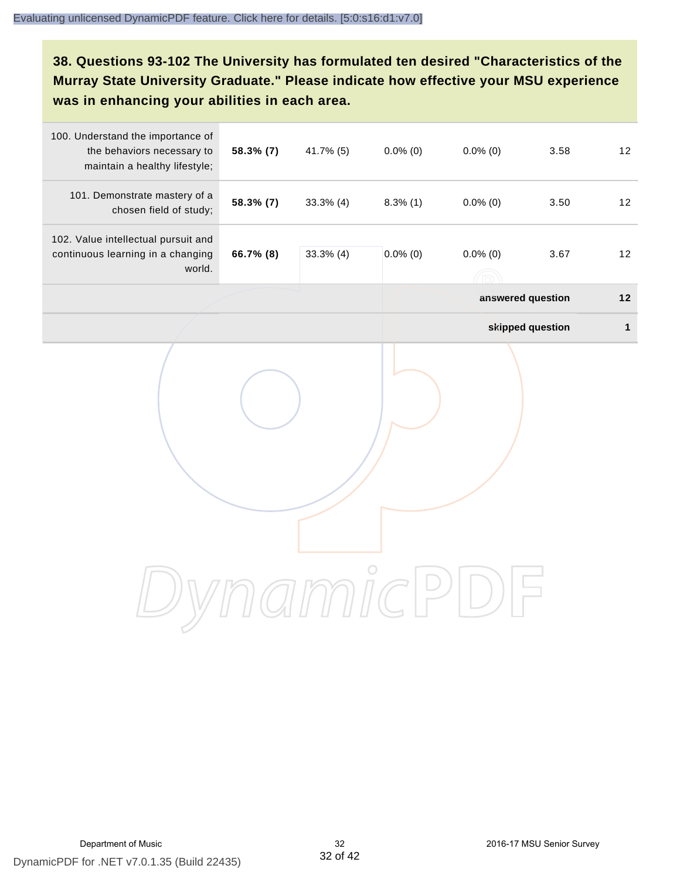## **38. Questions 93-102 The University has formulated ten desired "Characteristics of the Murray State University Graduate." Please indicate how effective your MSU experience was in enhancing your abilities in each area.**

| 100. Understand the importance of<br>the behaviors necessary to<br>maintain a healthy lifestyle; | 58.3% (7) | 41.7% (5)    | $0.0\%$ (0) | $0.0\%$ (0)       | 3.58             | 12           |
|--------------------------------------------------------------------------------------------------|-----------|--------------|-------------|-------------------|------------------|--------------|
| 101. Demonstrate mastery of a<br>chosen field of study;                                          | 58.3% (7) | 33.3% (4)    | $8.3\%$ (1) | $0.0\%$ (0)       | 3.50             | 12           |
| 102. Value intellectual pursuit and<br>continuous learning in a changing<br>world.               | 66.7% (8) | $33.3\%$ (4) | $0.0\%$ (0) | $0.0\%$ (0)<br>ĥ  | 3.67             | 12           |
|                                                                                                  |           |              |             | answered question |                  | $12$         |
|                                                                                                  |           |              |             |                   | skipped question | $\mathbf{1}$ |
|                                                                                                  |           |              |             |                   |                  |              |
|                                                                                                  |           |              |             |                   |                  |              |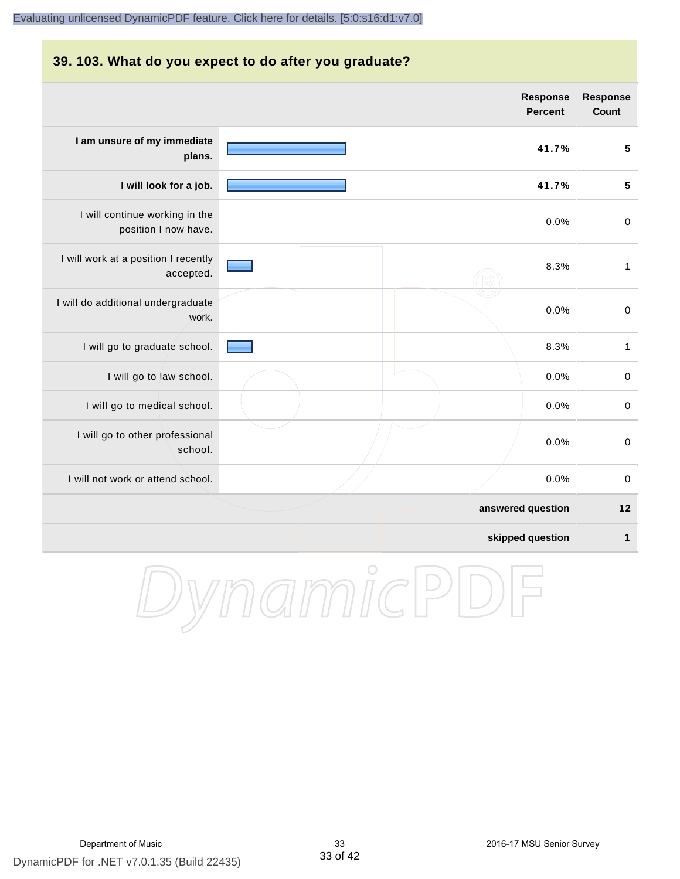## **39. 103. What do you expect to do after you graduate? Response Percent Response I am unsure of my immediate plans. 41.7% 5 I will look for a job. 41.7% 5** I will continue working in the position I now have. 0.0% 0 I will work at a position I recently accepted. 8.3% 1 I will do additional undergraduate work. 0.0% 0 I will go to graduate school. 8.3% 1 I will go to law school.  $\sim$  0.0% 0 I will go to medical school.  $\begin{pmatrix} 0.0\% & 0 \end{pmatrix}$ [Evaluating unlicensed DynamicPDF feature. Click here for details. \[5:0:s16:d1:v7.0\]](http://www.DynamicPDF.com/dplic/?d=T(EuYmIrxFe0nIre)

DynamicPD

I will not work or attend school. 0.0% 0

**answered question 12**

0.0% 0

**Count**

**skipped question 1**

I will go to other professional

school.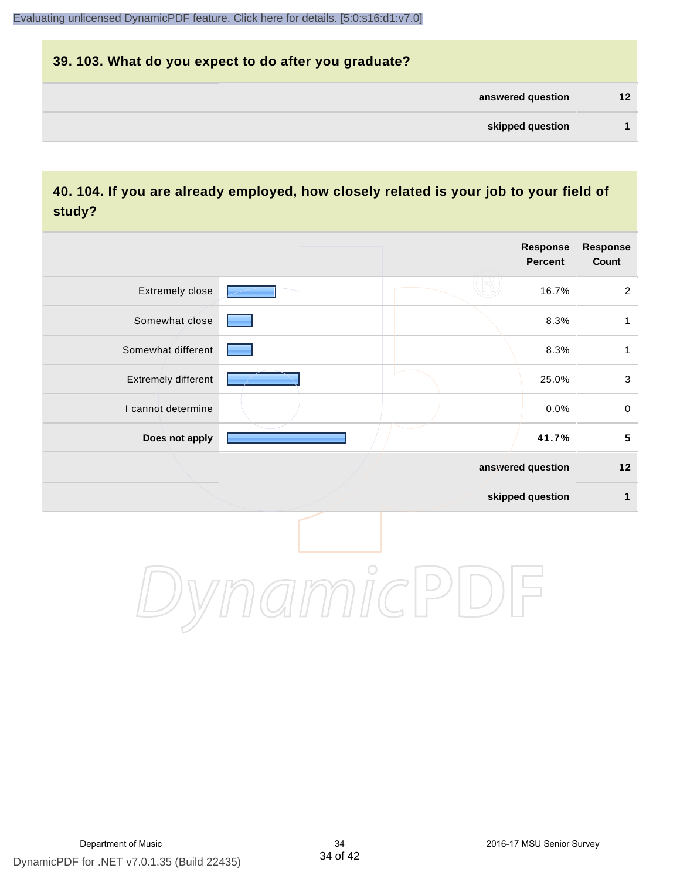## **39. 103. What do you expect to do after you graduate? answered question 12 skipped question 1**

## **40. 104. If you are already employed, how closely related is your job to your field of study?**

|                     |            | <b>Response</b><br><b>Percent</b> | Response<br>Count |
|---------------------|------------|-----------------------------------|-------------------|
| Extremely close     |            | 16.7%                             | $\overline{2}$    |
| Somewhat close      |            | 8.3%                              | 1                 |
| Somewhat different  |            | 8.3%                              | $\mathbf{1}$      |
| Extremely different |            | 25.0%                             | $\mathbf{3}$      |
| I cannot determine  |            | 0.0%                              | $\pmb{0}$         |
| Does not apply      |            | 41.7%                             | ${\bf 5}$         |
|                     |            | answered question                 | $12$              |
|                     |            | skipped question                  | $\mathbf{1}$      |
|                     | $\bigcirc$ |                                   |                   |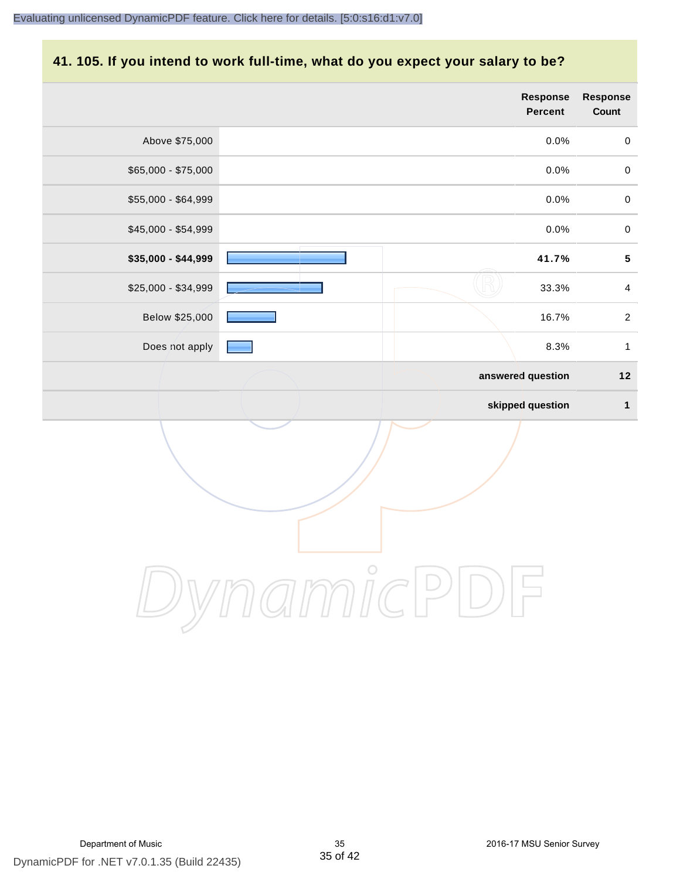## **41. 105. If you intend to work full-time, what do you expect your salary to be?**

|                     | <b>Response</b><br>Percent | <b>Response</b><br>Count |
|---------------------|----------------------------|--------------------------|
| Above \$75,000      | 0.0%                       | $\mathsf{O}\xspace$      |
| \$65,000 - \$75,000 | 0.0%                       | $\pmb{0}$                |
| \$55,000 - \$64,999 | 0.0%                       | $\pmb{0}$                |
| \$45,000 - \$54,999 | 0.0%                       | $\pmb{0}$                |
| \$35,000 - \$44,999 | 41.7%                      | ${\bf 5}$                |
| \$25,000 - \$34,999 | 33.3%                      | $\overline{4}$           |
| Below \$25,000      | 16.7%                      | $\overline{2}$           |
| Does not apply      | 8.3%                       | $\mathbf{1}$             |
|                     | answered question          | $12$                     |
|                     | skipped question           | $\mathbf{1}$             |
|                     |                            |                          |
|                     | $\circ$                    |                          |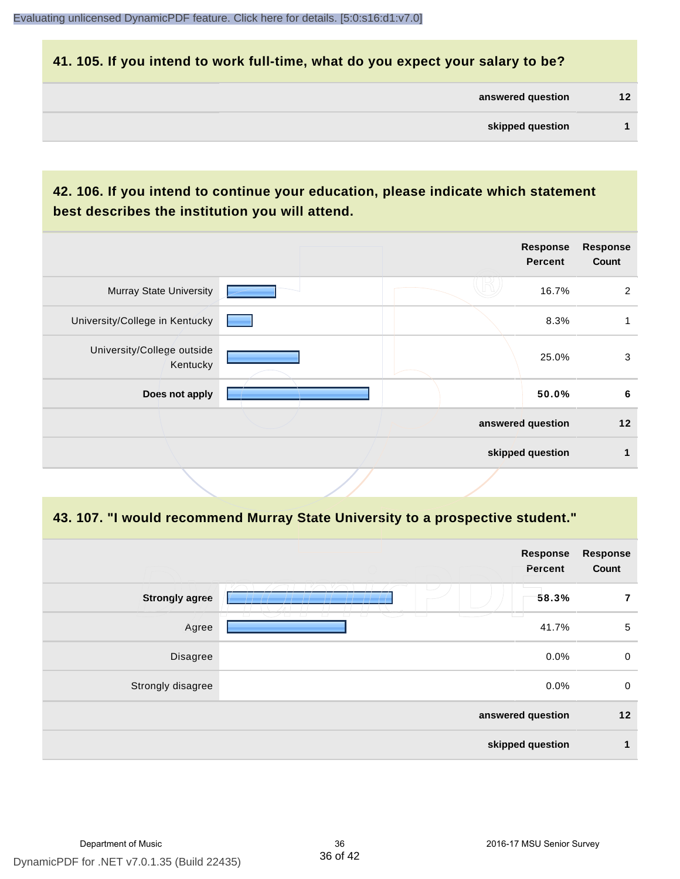## **41. 105. If you intend to work full-time, what do you expect your salary to be?**

| answered question | 12 |
|-------------------|----|
|                   |    |

## **42. 106. If you intend to continue your education, please indicate which statement best describes the institution you will attend.**

| <b>Response</b><br><b>Percent</b> | <b>Response</b><br>Count |
|-----------------------------------|--------------------------|
| 16.7%                             | 2                        |
| 8.3%                              |                          |
| 25.0%                             | 3                        |
| 50.0%                             | 6                        |
| answered question                 | 12                       |
| skipped question                  |                          |
|                                   |                          |

### **43. 107. "I would recommend Murray State University to a prospective student."**

| Response<br>Percent<br>Count<br>L.<br><b>Strongly agree</b><br>58.3%<br>7<br>mente de la construcción de la construcción de la construcción de la construcción de la construcción de la con<br>U<br>-13<br>┳<br>$\overline{\phantom{a}}$<br>$\sqrt{2}$<br>Agree<br>41.7%<br>0.0%<br>Disagree<br>0.0%<br>Strongly disagree<br>answered question<br>skipped question<br>1 |  |                 |
|-------------------------------------------------------------------------------------------------------------------------------------------------------------------------------------------------------------------------------------------------------------------------------------------------------------------------------------------------------------------------|--|-----------------|
|                                                                                                                                                                                                                                                                                                                                                                         |  | <b>Response</b> |
|                                                                                                                                                                                                                                                                                                                                                                         |  |                 |
|                                                                                                                                                                                                                                                                                                                                                                         |  | 5               |
|                                                                                                                                                                                                                                                                                                                                                                         |  | $\mathbf 0$     |
|                                                                                                                                                                                                                                                                                                                                                                         |  | $\mathbf 0$     |
|                                                                                                                                                                                                                                                                                                                                                                         |  | 12              |
|                                                                                                                                                                                                                                                                                                                                                                         |  |                 |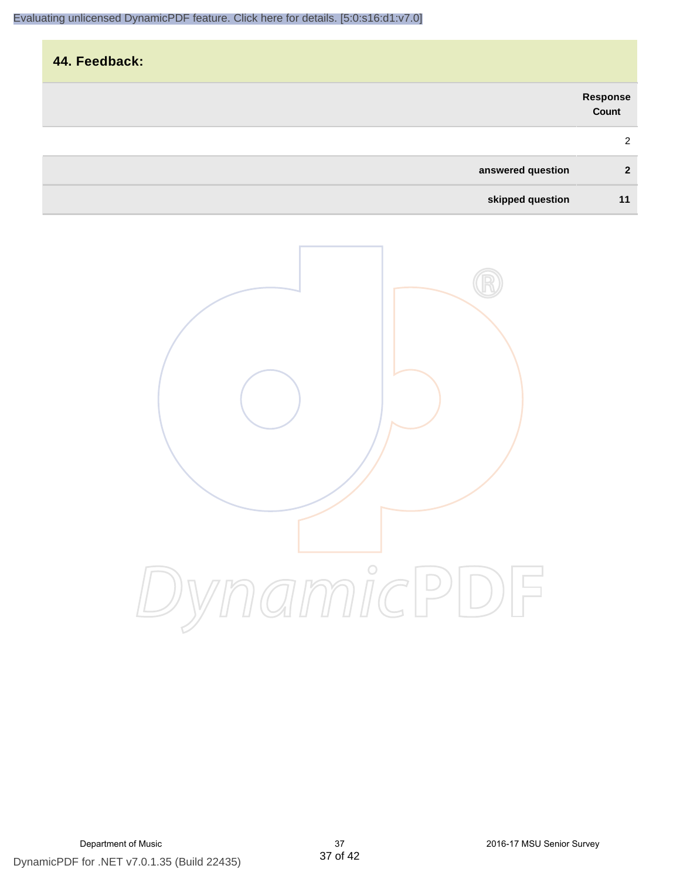| 44. Feedback:     |                   |
|-------------------|-------------------|
|                   | Response<br>Count |
|                   | 2                 |
| answered question | $\mathbf{2}$      |
| skipped question  | 11                |

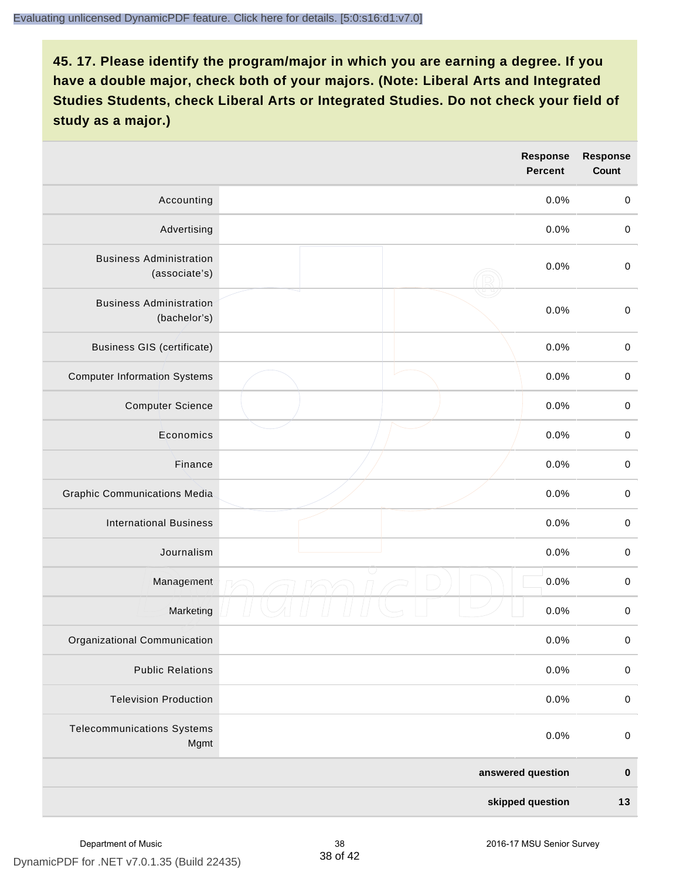|                                                 |  | <b>Response</b><br><b>Percent</b> | <b>Response</b><br>Count |
|-------------------------------------------------|--|-----------------------------------|--------------------------|
| Accounting                                      |  | 0.0%                              | $\mathbf 0$              |
| Advertising                                     |  | 0.0%                              | $\pmb{0}$                |
| <b>Business Administration</b><br>(associate's) |  | 0.0%                              | $\pmb{0}$                |
| <b>Business Administration</b><br>(bachelor's)  |  | 0.0%                              | $\pmb{0}$                |
| <b>Business GIS (certificate)</b>               |  | 0.0%                              | $\mathbf 0$              |
| <b>Computer Information Systems</b>             |  | 0.0%                              | $\pmb{0}$                |
| <b>Computer Science</b>                         |  | 0.0%                              | $\mathbf 0$              |
| Economics                                       |  | 0.0%                              | $\pmb{0}$                |
| Finance                                         |  | 0.0%                              | $\pmb{0}$                |
| <b>Graphic Communications Media</b>             |  | 0.0%                              | $\mathbf 0$              |
| <b>International Business</b>                   |  | 0.0%                              | $\pmb{0}$                |
| Journalism                                      |  | 0.0%                              | $\mathbf 0$              |
| Management                                      |  | 0.0%                              | $\pmb{0}$                |
| Marketing                                       |  | 0.0%                              | $\,0\,$                  |
| Organizational Communication                    |  | 0.0%                              | $\pmb{0}$                |
| <b>Public Relations</b>                         |  | 0.0%                              | $\mathbf 0$              |
| <b>Television Production</b>                    |  | 0.0%                              | $\mathsf 0$              |
| <b>Telecommunications Systems</b><br>Mgmt       |  | 0.0%                              | $\mathbf 0$              |
|                                                 |  | answered question                 | $\pmb{0}$                |
| skipped question                                |  | $13$                              |                          |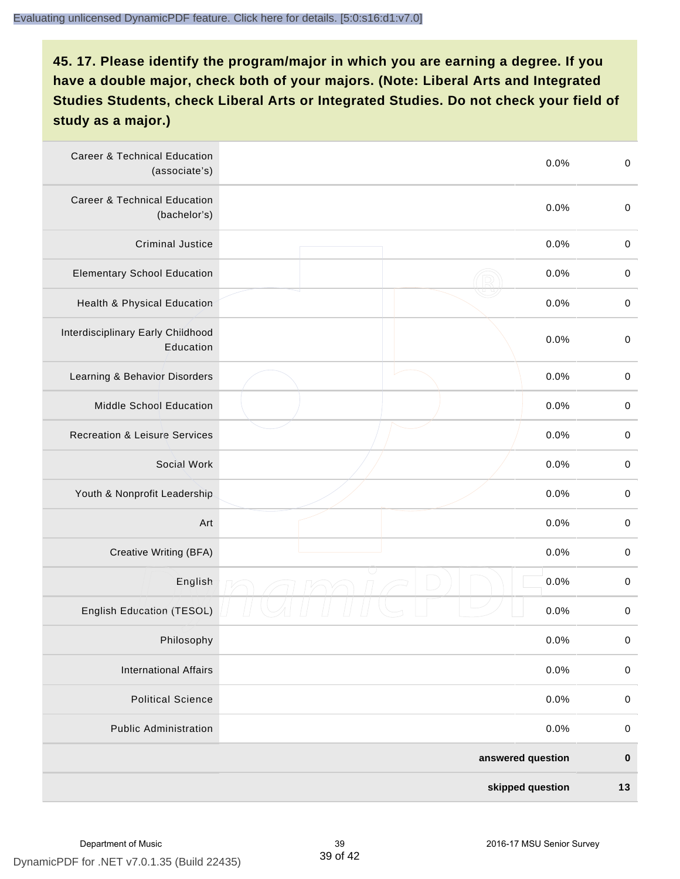| <b>Career &amp; Technical Education</b><br>(associate's) |  | 0.0%      | $\pmb{0}$   |
|----------------------------------------------------------|--|-----------|-------------|
| <b>Career &amp; Technical Education</b><br>(bachelor's)  |  | 0.0%      | $\mathbf 0$ |
| <b>Criminal Justice</b>                                  |  | 0.0%      | $\,0\,$     |
| <b>Elementary School Education</b>                       |  | 0.0%      | $\,0\,$     |
| Health & Physical Education                              |  | 0.0%      | $\,0\,$     |
| Interdisciplinary Early Childhood<br>Education           |  | 0.0%      | $\pmb{0}$   |
| Learning & Behavior Disorders                            |  | 0.0%      | $\,0\,$     |
| Middle School Education                                  |  | 0.0%      | $\pmb{0}$   |
| <b>Recreation &amp; Leisure Services</b>                 |  | 0.0%      | $\pmb{0}$   |
| Social Work                                              |  | 0.0%      | $\pmb{0}$   |
| Youth & Nonprofit Leadership                             |  | 0.0%      | $\mathbf 0$ |
| Art                                                      |  | 0.0%      | $\pmb{0}$   |
| Creative Writing (BFA)                                   |  | 0.0%      | $\pmb{0}$   |
| English                                                  |  | 0.0%      | $\pmb{0}$   |
| English Education (TESOL)                                |  | 0.0%      | $\pmb{0}$   |
| Philosophy                                               |  | 0.0%      | 0           |
| <b>International Affairs</b>                             |  | 0.0%      | $\pmb{0}$   |
| <b>Political Science</b>                                 |  | 0.0%      | $\pmb{0}$   |
| <b>Public Administration</b>                             |  | 0.0%      | $\pmb{0}$   |
| answered question                                        |  | $\pmb{0}$ |             |
| skipped question                                         |  |           | 13          |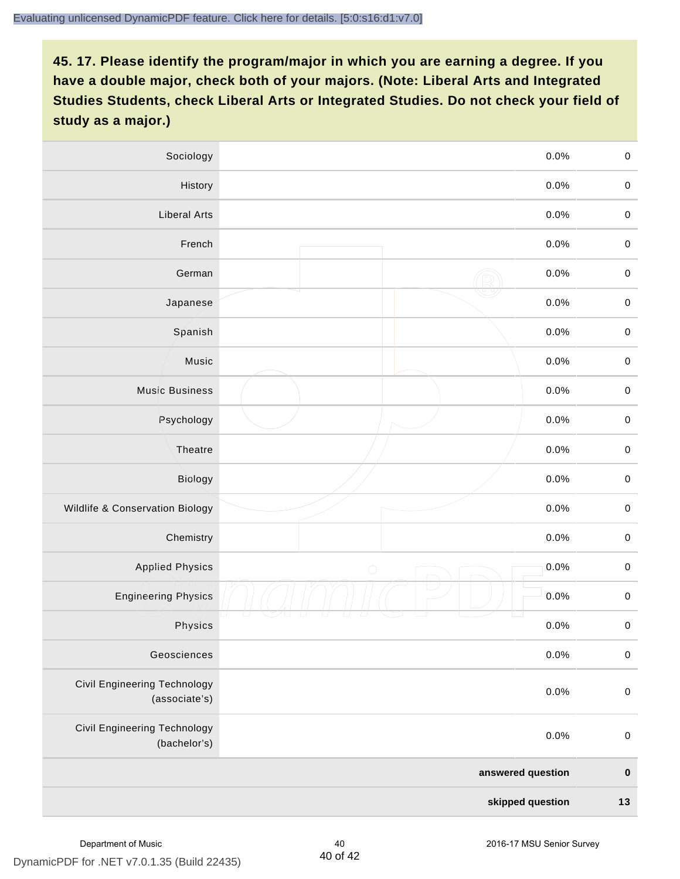| Sociology                                     | 0.0%               | $\mathbf 0$         |
|-----------------------------------------------|--------------------|---------------------|
| History                                       | 0.0%               | $\mathbf 0$         |
| <b>Liberal Arts</b>                           | 0.0%               | $\mathbf 0$         |
| French                                        | 0.0%               | $\pmb{0}$           |
| German                                        | 0.0%               | $\mathbf 0$         |
| Japanese                                      | 0.0%               | $\pmb{0}$           |
| Spanish                                       | 0.0%               | $\mathbf 0$         |
| Music                                         | 0.0%               | $\mathbf 0$         |
| <b>Music Business</b>                         | 0.0%               | $\pmb{0}$           |
| Psychology                                    | 0.0%               | $\mathbf 0$         |
| Theatre                                       | 0.0%               | $\mathbf 0$         |
| Biology                                       | 0.0%               | $\mathbf 0$         |
| Wildlife & Conservation Biology               | 0.0%               | $\mathbf 0$         |
| Chemistry                                     | 0.0%               | $\pmb{0}$           |
| <b>Applied Physics</b>                        | 0.0%<br>$\bigcirc$ | $\mathbf 0$         |
| <b>Engineering Physics</b>                    | 0.0%               | $\mathbf 0$         |
| Physics                                       | 0.0%               | $\mathsf{O}\xspace$ |
| Geosciences                                   | 0.0%               | $\mathbf 0$         |
| Civil Engineering Technology<br>(associate's) | 0.0%               | $\pmb{0}$           |
| Civil Engineering Technology<br>(bachelor's)  | 0.0%               | $\mathbf 0$         |
|                                               | answered question  | $\pmb{0}$           |
| skipped question                              |                    | $13$                |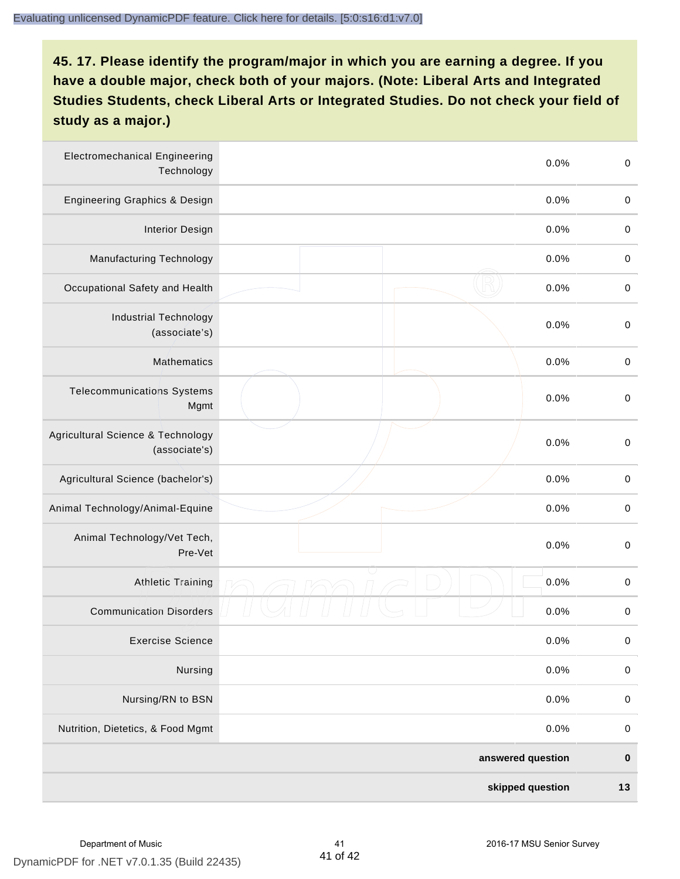| <b>Electromechanical Engineering</b><br>Technology |  | 0.0%              | $\mathbf 0$ |
|----------------------------------------------------|--|-------------------|-------------|
| <b>Engineering Graphics &amp; Design</b>           |  | 0.0%              | $\mathbf 0$ |
| <b>Interior Design</b>                             |  | 0.0%              | $\pmb{0}$   |
| <b>Manufacturing Technology</b>                    |  | 0.0%              | $\pmb{0}$   |
| Occupational Safety and Health                     |  | 0.0%              | $\pmb{0}$   |
| <b>Industrial Technology</b><br>(associate's)      |  | 0.0%              | $\pmb{0}$   |
| <b>Mathematics</b>                                 |  | 0.0%              | $\pmb{0}$   |
| <b>Telecommunications Systems</b><br>Mgmt          |  | 0.0%              | $\pmb{0}$   |
| Agricultural Science & Technology<br>(associate's) |  | 0.0%              | $\mbox{O}$  |
| Agricultural Science (bachelor's)                  |  | 0.0%              | $\mathbf 0$ |
| Animal Technology/Animal-Equine                    |  | 0.0%              | $\pmb{0}$   |
| Animal Technology/Vet Tech,<br>Pre-Vet             |  | 0.0%              | $\pmb{0}$   |
| Athletic Training                                  |  | 0.0%              | $\pmb{0}$   |
| <b>Communication Disorders</b>                     |  | 0.0%              | $\pmb{0}$   |
| <b>Exercise Science</b>                            |  | 0.0%              | $\pmb{0}$   |
| Nursing                                            |  | 0.0%              | $\mathbf 0$ |
| Nursing/RN to BSN                                  |  | 0.0%              | $\pmb{0}$   |
| Nutrition, Dietetics, & Food Mgmt                  |  | 0.0%              | $\,0\,$     |
|                                                    |  | answered question | $\pmb{0}$   |
| skipped question                                   |  |                   | $13$        |